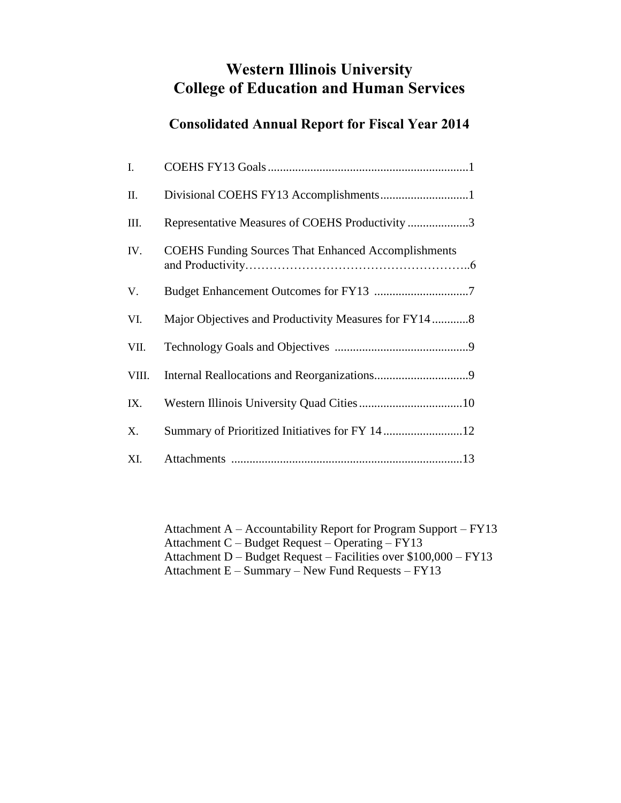# **Western Illinois University College of Education and Human Services**

# **Consolidated Annual Report for Fiscal Year 2014**

| I.    |                                                            |
|-------|------------------------------------------------------------|
| II.   |                                                            |
| III.  | Representative Measures of COEHS Productivity 3            |
| IV.   | <b>COEHS Funding Sources That Enhanced Accomplishments</b> |
| V.    |                                                            |
| VI.   | Major Objectives and Productivity Measures for FY148       |
| VII.  |                                                            |
| VIII. |                                                            |
| IX.   |                                                            |
| X.    | Summary of Prioritized Initiatives for FY 14 12            |
| XI.   |                                                            |

Attachment A – Accountability Report for Program Support – FY13 Attachment C – Budget Request – Operating – FY13 Attachment D – Budget Request – Facilities over \$100,000 – FY13 Attachment E – Summary – New Fund Requests – FY13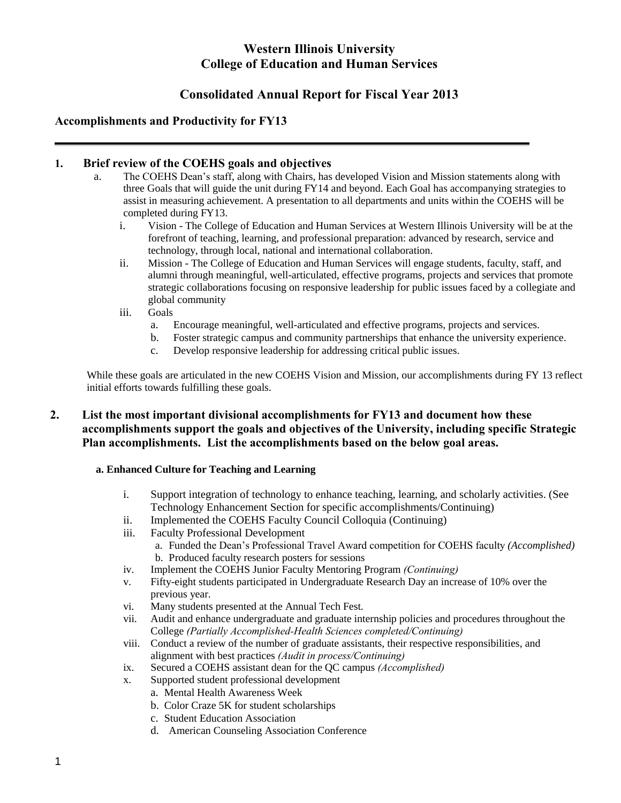# **Western Illinois University College of Education and Human Services**

# **Consolidated Annual Report for Fiscal Year 2013**

# **Accomplishments and Productivity for FY13**

## **1. Brief review of the COEHS goals and objectives**

- a. The COEHS Dean's staff, along with Chairs, has developed Vision and Mission statements along with three Goals that will guide the unit during FY14 and beyond. Each Goal has accompanying strategies to assist in measuring achievement. A presentation to all departments and units within the COEHS will be completed during FY13.
	- i. Vision The College of Education and Human Services at Western Illinois University will be at the forefront of teaching, learning, and professional preparation: advanced by research, service and technology, through local, national and international collaboration.
	- ii. Mission The College of Education and Human Services will engage students, faculty, staff, and alumni through meaningful, well-articulated, effective programs, projects and services that promote strategic collaborations focusing on responsive leadership for public issues faced by a collegiate and global community
	- iii. Goals
		- a. Encourage meaningful, well-articulated and effective programs, projects and services.
		- b. Foster strategic campus and community partnerships that enhance the university experience.
		- c. Develop responsive leadership for addressing critical public issues.

While these goals are articulated in the new COEHS Vision and Mission, our accomplishments during FY 13 reflect initial efforts towards fulfilling these goals.

## **2. List the most important divisional accomplishments for FY13 and document how these accomplishments support the goals and objectives of the University, including specific Strategic Plan accomplishments. List the accomplishments based on the below goal areas.**

## **a. Enhanced Culture for Teaching and Learning**

- i. Support integration of technology to enhance teaching, learning, and scholarly activities. (See Technology Enhancement Section for specific accomplishments/Continuing)
- ii. Implemented the COEHS Faculty Council Colloquia (Continuing)
- iii. Faculty Professional Development
	- a. Funded the Dean's Professional Travel Award competition for COEHS faculty *(Accomplished)* b. Produced faculty research posters for sessions
- iv. Implement the COEHS Junior Faculty Mentoring Program *(Continuing)*
- v. Fifty-eight students participated in Undergraduate Research Day an increase of 10% over the previous year.
- vi. Many students presented at the Annual Tech Fest.
- vii. Audit and enhance undergraduate and graduate internship policies and procedures throughout the College *(Partially Accomplished-Health Sciences completed/Continuing)*
- viii. Conduct a review of the number of graduate assistants, their respective responsibilities, and alignment with best practices *(Audit in process/Continuing)*
- ix. Secured a COEHS assistant dean for the QC campus *(Accomplished)*
- x. Supported student professional development
	- a. Mental Health Awareness Week
	- b. Color Craze 5K for student scholarships
	- c. Student Education Association
	- d. American Counseling Association Conference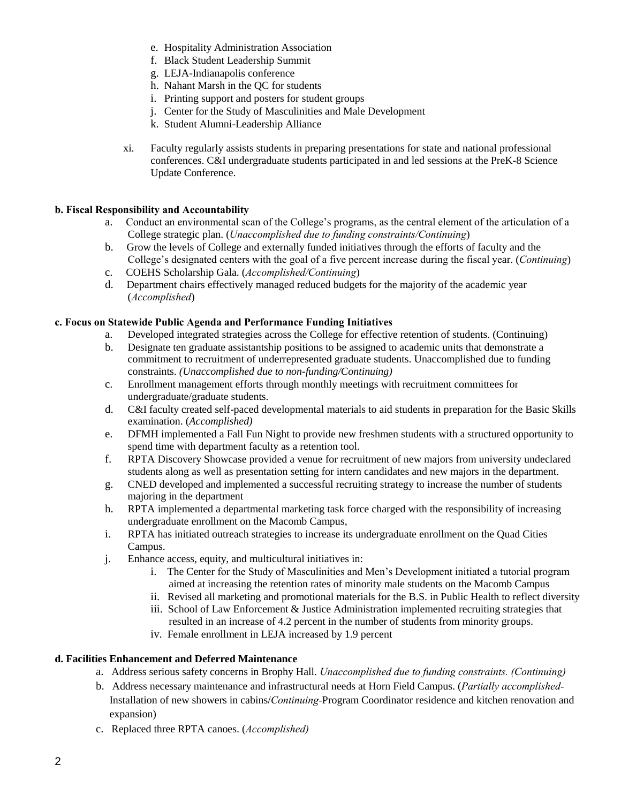- e. Hospitality Administration Association
- f. Black Student Leadership Summit
- g. LEJA-Indianapolis conference
- h. Nahant Marsh in the QC for students
- i. Printing support and posters for student groups
- j. Center for the Study of Masculinities and Male Development
- k. Student Alumni-Leadership Alliance
- xi. Faculty regularly assists students in preparing presentations for state and national professional conferences. C&I undergraduate students participated in and led sessions at the PreK-8 Science Update Conference.

## **b. Fiscal Responsibility and Accountability**

- a. Conduct an environmental scan of the College's programs, as the central element of the articulation of a College strategic plan. (*Unaccomplished due to funding constraints/Continuing*)
- b. Grow the levels of College and externally funded initiatives through the efforts of faculty and the College's designated centers with the goal of a five percent increase during the fiscal year. (*Continuing*)
- c. COEHS Scholarship Gala. (*Accomplished/Continuing*)
- d. Department chairs effectively managed reduced budgets for the majority of the academic year (*Accomplished*)

## **c. Focus on Statewide Public Agenda and Performance Funding Initiatives**

- a. Developed integrated strategies across the College for effective retention of students. (Continuing)
- b. Designate ten graduate assistantship positions to be assigned to academic units that demonstrate a commitment to recruitment of underrepresented graduate students. Unaccomplished due to funding constraints. *(Unaccomplished due to non-funding/Continuing)*
- c. Enrollment management efforts through monthly meetings with recruitment committees for undergraduate/graduate students.
- d. C&I faculty created self-paced developmental materials to aid students in preparation for the Basic Skills examination. (*Accomplished)*
- e. DFMH implemented a Fall Fun Night to provide new freshmen students with a structured opportunity to spend time with department faculty as a retention tool.
- f. RPTA Discovery Showcase provided a venue for recruitment of new majors from university undeclared students along as well as presentation setting for intern candidates and new majors in the department.
- g. CNED developed and implemented a successful recruiting strategy to increase the number of students majoring in the department
- h. RPTA implemented a departmental marketing task force charged with the responsibility of increasing undergraduate enrollment on the Macomb Campus,
- i. RPTA has initiated outreach strategies to increase its undergraduate enrollment on the Quad Cities Campus.
- j. Enhance access, equity, and multicultural initiatives in:
	- i. The Center for the Study of Masculinities and Men's Development initiated a tutorial program aimed at increasing the retention rates of minority male students on the Macomb Campus
	- ii. Revised all marketing and promotional materials for the B.S. in Public Health to reflect diversity
	- iii. School of Law Enforcement & Justice Administration implemented recruiting strategies that resulted in an increase of 4.2 percent in the number of students from minority groups.
	- iv. Female enrollment in LEJA increased by 1.9 percent

## **d. Facilities Enhancement and Deferred Maintenance**

- a. Address serious safety concerns in Brophy Hall. *Unaccomplished due to funding constraints. (Continuing)*
- b. Address necessary maintenance and infrastructural needs at Horn Field Campus. (*Partially accomplished-*Installation of new showers in cabins/*Continuing-*Program Coordinator residence and kitchen renovation and expansion)
- c. Replaced three RPTA canoes. (*Accomplished)*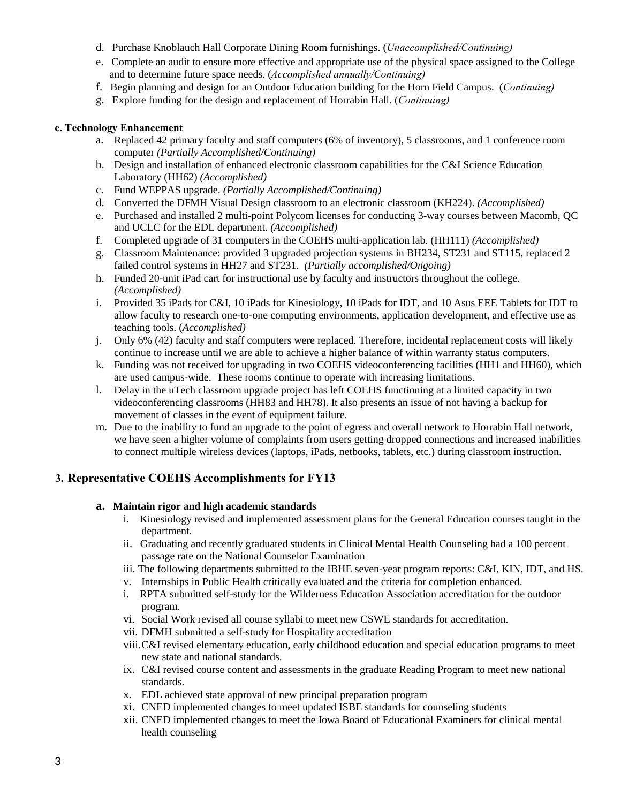- d. Purchase Knoblauch Hall Corporate Dining Room furnishings. (*Unaccomplished/Continuing)*
- e. Complete an audit to ensure more effective and appropriate use of the physical space assigned to the College and to determine future space needs. (*Accomplished annually/Continuing)*
- f. Begin planning and design for an Outdoor Education building for the Horn Field Campus. (*Continuing)*
- g. Explore funding for the design and replacement of Horrabin Hall. (*Continuing)*

#### **e. Technology Enhancement**

- a. Replaced 42 primary faculty and staff computers (6% of inventory), 5 classrooms, and 1 conference room computer *(Partially Accomplished/Continuing)*
- b. Design and installation of enhanced electronic classroom capabilities for the C&I Science Education Laboratory (HH62) *(Accomplished)*
- c. Fund WEPPAS upgrade. *(Partially Accomplished/Continuing)*
- d. Converted the DFMH Visual Design classroom to an electronic classroom (KH224). *(Accomplished)*
- e. Purchased and installed 2 multi-point Polycom licenses for conducting 3-way courses between Macomb, QC and UCLC for the EDL department. *(Accomplished)*
- f. Completed upgrade of 31 computers in the COEHS multi-application lab. (HH111) *(Accomplished)*
- g. Classroom Maintenance: provided 3 upgraded projection systems in BH234, ST231 and ST115, replaced 2 failed control systems in HH27 and ST231. *(Partially accomplished/Ongoing)*
- h. Funded 20-unit iPad cart for instructional use by faculty and instructors throughout the college. *(Accomplished)*
- i. Provided 35 iPads for C&I, 10 iPads for Kinesiology, 10 iPads for IDT, and 10 Asus EEE Tablets for IDT to allow faculty to research one-to-one computing environments, application development, and effective use as teaching tools. (*Accomplished)*
- j. Only 6% (42) faculty and staff computers were replaced. Therefore, incidental replacement costs will likely continue to increase until we are able to achieve a higher balance of within warranty status computers.
- k. Funding was not received for upgrading in two COEHS videoconferencing facilities (HH1 and HH60), which are used campus-wide. These rooms continue to operate with increasing limitations.
- l. Delay in the uTech classroom upgrade project has left COEHS functioning at a limited capacity in two videoconferencing classrooms (HH83 and HH78). It also presents an issue of not having a backup for movement of classes in the event of equipment failure.
- m. Due to the inability to fund an upgrade to the point of egress and overall network to Horrabin Hall network, we have seen a higher volume of complaints from users getting dropped connections and increased inabilities to connect multiple wireless devices (laptops, iPads, netbooks, tablets, etc.) during classroom instruction.

## **3. Representative COEHS Accomplishments for FY13**

## **a. Maintain rigor and high academic standards**

- i. Kinesiology revised and implemented assessment plans for the General Education courses taught in the department.
- ii. Graduating and recently graduated students in Clinical Mental Health Counseling had a 100 percent passage rate on the National Counselor Examination
- iii. The following departments submitted to the IBHE seven-year program reports: C&I, KIN, IDT, and HS.
- v. Internships in Public Health critically evaluated and the criteria for completion enhanced.
- i. RPTA submitted self-study for the Wilderness Education Association accreditation for the outdoor program.
- vi. Social Work revised all course syllabi to meet new CSWE standards for accreditation.
- vii. DFMH submitted a self-study for Hospitality accreditation
- viii.C&I revised elementary education, early childhood education and special education programs to meet new state and national standards.
- ix. C&I revised course content and assessments in the graduate Reading Program to meet new national standards.
- x. EDL achieved state approval of new principal preparation program
- xi. CNED implemented changes to meet updated ISBE standards for counseling students
- xii. CNED implemented changes to meet the Iowa Board of Educational Examiners for clinical mental health counseling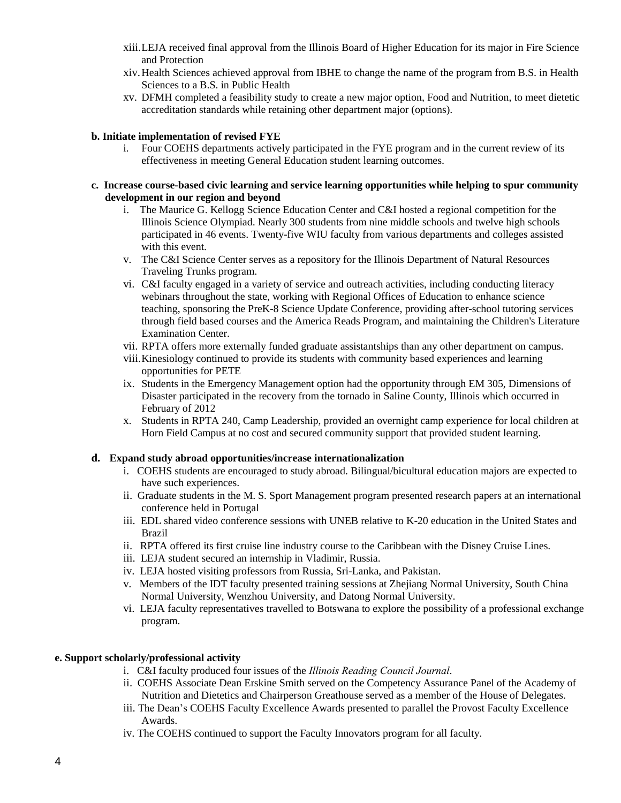- xiii.LEJA received final approval from the Illinois Board of Higher Education for its major in Fire Science and Protection
- xiv.Health Sciences achieved approval from IBHE to change the name of the program from B.S. in Health Sciences to a B.S. in Public Health
- xv. DFMH completed a feasibility study to create a new major option, Food and Nutrition, to meet dietetic accreditation standards while retaining other department major (options).

#### **b. Initiate implementation of revised FYE**

i. Four COEHS departments actively participated in the FYE program and in the current review of its effectiveness in meeting General Education student learning outcomes.

#### **c. Increase course-based civic learning and service learning opportunities while helping to spur community development in our region and beyond**

- i. The Maurice G. Kellogg Science Education Center and C&I hosted a regional competition for the Illinois Science Olympiad. Nearly 300 students from nine middle schools and twelve high schools participated in 46 events. Twenty-five WIU faculty from various departments and colleges assisted with this event.
- v. The C&I Science Center serves as a repository for the Illinois Department of Natural Resources Traveling Trunks program.
- vi. C&I faculty engaged in a variety of service and outreach activities, including conducting literacy webinars throughout the state, working with Regional Offices of Education to enhance science teaching, sponsoring the PreK-8 Science Update Conference, providing after-school tutoring services through field based courses and the America Reads Program, and maintaining the Children's Literature Examination Center.
- vii. RPTA offers more externally funded graduate assistantships than any other department on campus.
- viii.Kinesiology continued to provide its students with community based experiences and learning opportunities for PETE
- ix. Students in the Emergency Management option had the opportunity through EM 305, Dimensions of Disaster participated in the recovery from the tornado in Saline County, Illinois which occurred in February of 2012
- x. Students in RPTA 240, Camp Leadership, provided an overnight camp experience for local children at Horn Field Campus at no cost and secured community support that provided student learning.

#### **d. Expand study abroad opportunities/increase internationalization**

- i. COEHS students are encouraged to study abroad. Bilingual/bicultural education majors are expected to have such experiences.
- ii. Graduate students in the M. S. Sport Management program presented research papers at an international conference held in Portugal
- iii. EDL shared video conference sessions with UNEB relative to K-20 education in the United States and Brazil
- ii. RPTA offered its first cruise line industry course to the Caribbean with the Disney Cruise Lines.
- iii. LEJA student secured an internship in Vladimir, Russia.
- iv. LEJA hosted visiting professors from Russia, Sri-Lanka, and Pakistan.
- v. Members of the IDT faculty presented training sessions at Zhejiang Normal University, South China Normal University, Wenzhou University, and Datong Normal University.
- vi. LEJA faculty representatives travelled to Botswana to explore the possibility of a professional exchange program.

#### **e. Support scholarly/professional activity**

- i. C&I faculty produced four issues of the *Illinois Reading Council Journal*.
- ii. COEHS Associate Dean Erskine Smith served on the Competency Assurance Panel of the Academy of Nutrition and Dietetics and Chairperson Greathouse served as a member of the House of Delegates.
- iii. The Dean's COEHS Faculty Excellence Awards presented to parallel the Provost Faculty Excellence Awards.
- iv. The COEHS continued to support the Faculty Innovators program for all faculty.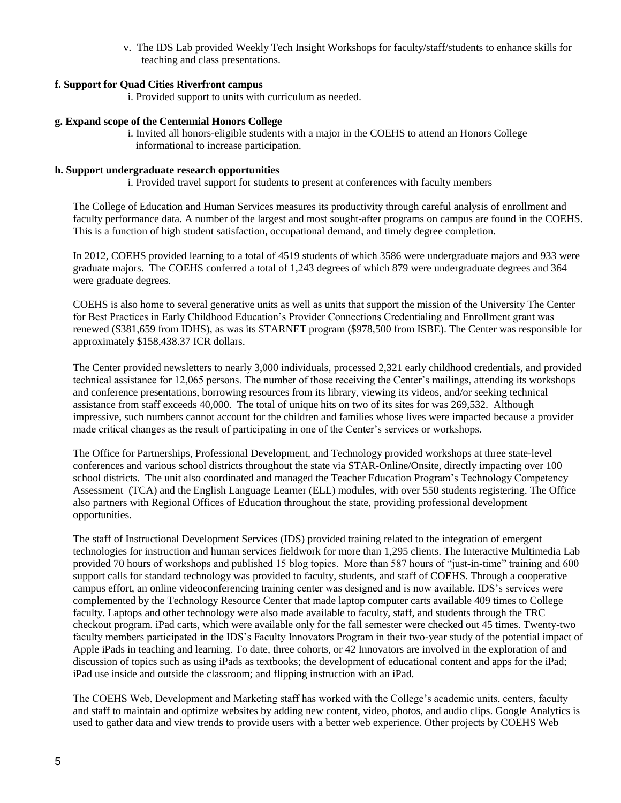v. The IDS Lab provided Weekly Tech Insight Workshops for faculty/staff/students to enhance skills for teaching and class presentations.

#### **f. Support for Quad Cities Riverfront campus**

i. Provided support to units with curriculum as needed.

#### **g. Expand scope of the Centennial Honors College**

i. Invited all honors-eligible students with a major in the COEHS to attend an Honors College informational to increase participation.

#### **h. Support undergraduate research opportunities**

i. Provided travel support for students to present at conferences with faculty members

The College of Education and Human Services measures its productivity through careful analysis of enrollment and faculty performance data. A number of the largest and most sought-after programs on campus are found in the COEHS. This is a function of high student satisfaction, occupational demand, and timely degree completion.

In 2012, COEHS provided learning to a total of 4519 students of which 3586 were undergraduate majors and 933 were graduate majors. The COEHS conferred a total of 1,243 degrees of which 879 were undergraduate degrees and 364 were graduate degrees.

COEHS is also home to several generative units as well as units that support the mission of the University The Center for Best Practices in Early Childhood Education's Provider Connections Credentialing and Enrollment grant was renewed (\$381,659 from IDHS), as was its STARNET program (\$978,500 from ISBE). The Center was responsible for approximately \$158,438.37 ICR dollars.

The Center provided newsletters to nearly 3,000 individuals, processed 2,321 early childhood credentials, and provided technical assistance for 12,065 persons. The number of those receiving the Center's mailings, attending its workshops and conference presentations, borrowing resources from its library, viewing its videos, and/or seeking technical assistance from staff exceeds 40,000. The total of unique hits on two of its sites for was 269,532. Although impressive, such numbers cannot account for the children and families whose lives were impacted because a provider made critical changes as the result of participating in one of the Center's services or workshops.

The Office for Partnerships, Professional Development, and Technology provided workshops at three state-level conferences and various school districts throughout the state via STAR-Online/Onsite, directly impacting over 100 school districts. The unit also coordinated and managed the Teacher Education Program's Technology Competency Assessment (TCA) and the English Language Learner (ELL) modules, with over 550 students registering. The Office also partners with Regional Offices of Education throughout the state, providing professional development opportunities.

The staff of Instructional Development Services (IDS) provided training related to the integration of emergent technologies for instruction and human services fieldwork for more than 1,295 clients. The Interactive Multimedia Lab provided 70 hours of workshops and published 15 blog topics. More than 587 hours of "just-in-time" training and 600 support calls for standard technology was provided to faculty, students, and staff of COEHS. Through a cooperative campus effort, an online videoconferencing training center was designed and is now available. IDS's services were complemented by the Technology Resource Center that made laptop computer carts available 409 times to College faculty. Laptops and other technology were also made available to faculty, staff, and students through the TRC checkout program. iPad carts, which were available only for the fall semester were checked out 45 times. Twenty-two faculty members participated in the IDS's Faculty Innovators Program in their two-year study of the potential impact of Apple iPads in teaching and learning. To date, three cohorts, or 42 Innovators are involved in the exploration of and discussion of topics such as using iPads as textbooks; the development of educational content and apps for the iPad; iPad use inside and outside the classroom; and flipping instruction with an iPad.

The COEHS Web, Development and Marketing staff has worked with the College's academic units, centers, faculty and staff to maintain and optimize websites by adding new content, video, photos, and audio clips. Google Analytics is used to gather data and view trends to provide users with a better web experience. Other projects by COEHS Web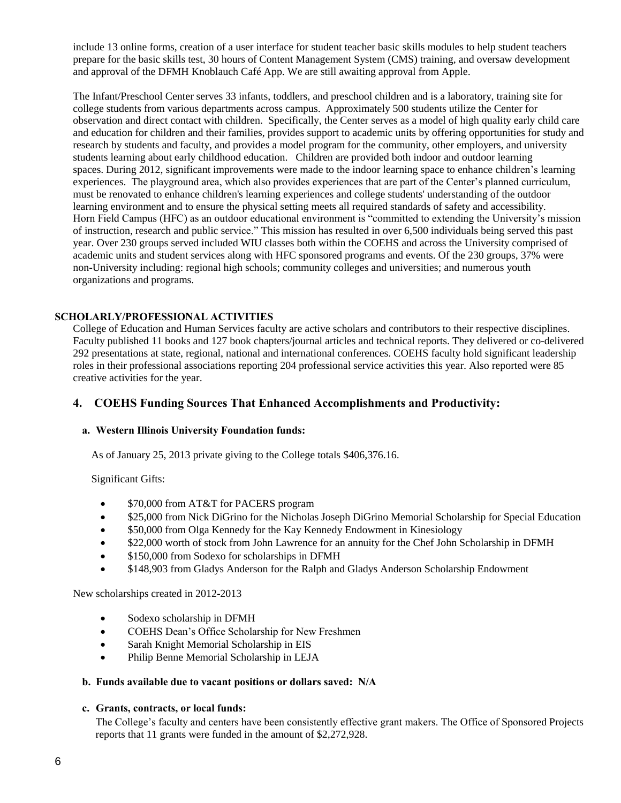include 13 online forms, creation of a user interface for student teacher basic skills modules to help student teachers prepare for the basic skills test, 30 hours of Content Management System (CMS) training, and oversaw development and approval of the DFMH Knoblauch Café App. We are still awaiting approval from Apple.

The Infant/Preschool Center serves 33 infants, toddlers, and preschool children and is a laboratory, training site for college students from various departments across campus. Approximately 500 students utilize the Center for observation and direct contact with children. Specifically, the Center serves as a model of high quality early child care and education for children and their families, provides support to academic units by offering opportunities for study and research by students and faculty, and provides a model program for the community, other employers, and university students learning about early childhood education. Children are provided both indoor and outdoor learning spaces. During 2012, significant improvements were made to the indoor learning space to enhance children's learning experiences. The playground area, which also provides experiences that are part of the Center's planned curriculum, must be renovated to enhance children's learning experiences and college students' understanding of the outdoor learning environment and to ensure the physical setting meets all required standards of safety and accessibility. Horn Field Campus (HFC) as an outdoor educational environment is "committed to extending the University's mission of instruction, research and public service." This mission has resulted in over 6,500 individuals being served this past year. Over 230 groups served included WIU classes both within the COEHS and across the University comprised of academic units and student services along with HFC sponsored programs and events. Of the 230 groups, 37% were non-University including: regional high schools; community colleges and universities; and numerous youth organizations and programs.

## **SCHOLARLY/PROFESSIONAL ACTIVITIES**

College of Education and Human Services faculty are active scholars and contributors to their respective disciplines. Faculty published 11 books and 127 book chapters/journal articles and technical reports. They delivered or co-delivered 292 presentations at state, regional, national and international conferences. COEHS faculty hold significant leadership roles in their professional associations reporting 204 professional service activities this year. Also reported were 85 creative activities for the year.

## **4. COEHS Funding Sources That Enhanced Accomplishments and Productivity:**

#### **a. Western Illinois University Foundation funds:**

As of January 25, 2013 private giving to the College totals \$406,376.16.

Significant Gifts:

- \$70,000 from AT&T for PACERS program
- \$25,000 from Nick DiGrino for the Nicholas Joseph DiGrino Memorial Scholarship for Special Education
- \$50,000 from Olga Kennedy for the Kay Kennedy Endowment in Kinesiology
- \$22,000 worth of stock from John Lawrence for an annuity for the Chef John Scholarship in DFMH
- \$150,000 from Sodexo for scholarships in DFMH
- \$148,903 from Gladys Anderson for the Ralph and Gladys Anderson Scholarship Endowment

New scholarships created in 2012-2013

- Sodexo scholarship in DFMH
- COEHS Dean's Office Scholarship for New Freshmen
- Sarah Knight Memorial Scholarship in EIS
- Philip Benne Memorial Scholarship in LEJA

#### **b. Funds available due to vacant positions or dollars saved: N/A**

#### **c. Grants, contracts, or local funds:**

The College's faculty and centers have been consistently effective grant makers. The Office of Sponsored Projects reports that 11 grants were funded in the amount of \$2,272,928.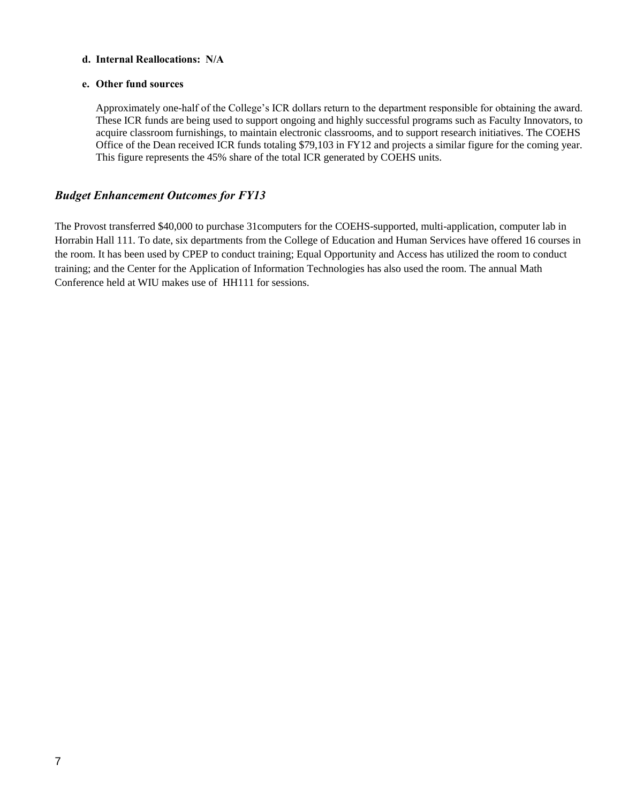## **d. Internal Reallocations: N/A**

#### **e. Other fund sources**

Approximately one-half of the College's ICR dollars return to the department responsible for obtaining the award. These ICR funds are being used to support ongoing and highly successful programs such as Faculty Innovators, to acquire classroom furnishings, to maintain electronic classrooms, and to support research initiatives. The COEHS Office of the Dean received ICR funds totaling \$79,103 in FY12 and projects a similar figure for the coming year. This figure represents the 45% share of the total ICR generated by COEHS units.

## *Budget Enhancement Outcomes for FY13*

The Provost transferred \$40,000 to purchase 31computers for the COEHS-supported, multi-application, computer lab in Horrabin Hall 111. To date, six departments from the College of Education and Human Services have offered 16 courses in the room. It has been used by CPEP to conduct training; Equal Opportunity and Access has utilized the room to conduct training; and the Center for the Application of Information Technologies has also used the room. The annual Math Conference held at WIU makes use of HH111 for sessions.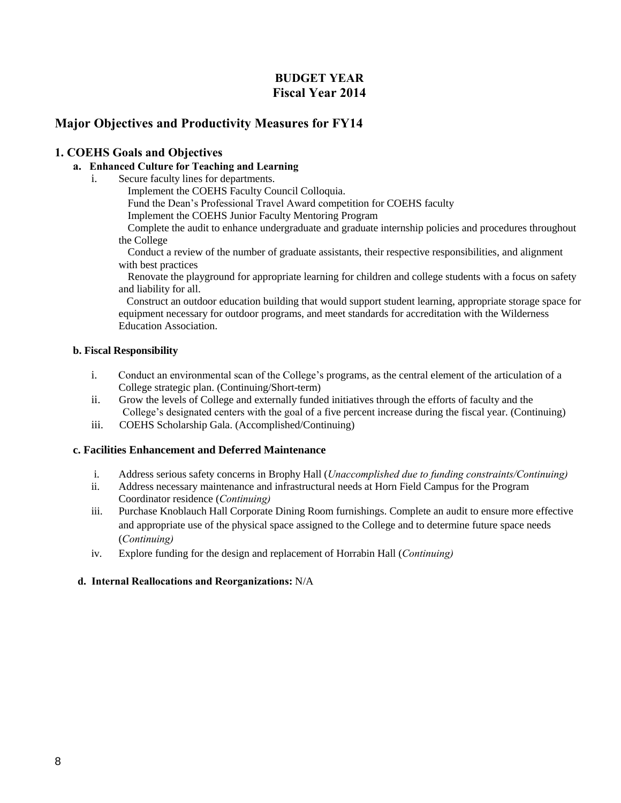# **BUDGET YEAR Fiscal Year 2014**

# **Major Objectives and Productivity Measures for FY14**

## **1. COEHS Goals and Objectives**

## **a. Enhanced Culture for Teaching and Learning**

i. Secure faculty lines for departments.

Implement the COEHS Faculty Council Colloquia.

Fund the Dean's Professional Travel Award competition for COEHS faculty

Implement the COEHS Junior Faculty Mentoring Program

Complete the audit to enhance undergraduate and graduate internship policies and procedures throughout the College

Conduct a review of the number of graduate assistants, their respective responsibilities, and alignment with best practices

Renovate the playground for appropriate learning for children and college students with a focus on safety and liability for all.

 Construct an outdoor education building that would support student learning, appropriate storage space for equipment necessary for outdoor programs, and meet standards for accreditation with the Wilderness Education Association.

## **b. Fiscal Responsibility**

- i. Conduct an environmental scan of the College's programs, as the central element of the articulation of a College strategic plan. (Continuing/Short-term)
- ii. Grow the levels of College and externally funded initiatives through the efforts of faculty and the College's designated centers with the goal of a five percent increase during the fiscal year. (Continuing)
- iii. COEHS Scholarship Gala. (Accomplished/Continuing)

## **c. Facilities Enhancement and Deferred Maintenance**

- i. Address serious safety concerns in Brophy Hall (*Unaccomplished due to funding constraints/Continuing)*
- ii. Address necessary maintenance and infrastructural needs at Horn Field Campus for the Program Coordinator residence (*Continuing)*
- iii. Purchase Knoblauch Hall Corporate Dining Room furnishings. Complete an audit to ensure more effective and appropriate use of the physical space assigned to the College and to determine future space needs (*Continuing)*
- iv. Explore funding for the design and replacement of Horrabin Hall (*Continuing)*

## **d. Internal Reallocations and Reorganizations:** N/A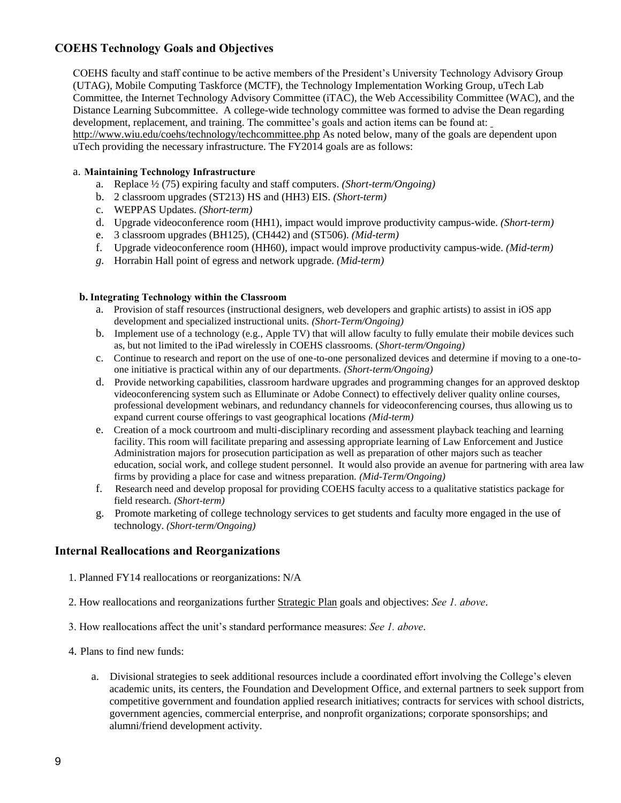# **COEHS Technology Goals and Objectives**

COEHS faculty and staff continue to be active members of the President's University Technology Advisory Group (UTAG), Mobile Computing Taskforce (MCTF), the Technology Implementation Working Group, uTech Lab Committee, the Internet Technology Advisory Committee (iTAC), the Web Accessibility Committee (WAC), and the Distance Learning Subcommittee. A college-wide technology committee was formed to advise the Dean regarding development, replacement, and training. The committee's goals and action items can be found at[:](http://www.wiu.edu/coehs/technology/techcommittee.php) 

<http://www.wiu.edu/coehs/technology/techcommittee.php> As noted below, many of the goals are dependent upon uTech providing the necessary infrastructure. The FY2014 goals are as follows:

#### a. **Maintaining Technology Infrastructure**

- a. Replace ½ (75) expiring faculty and staff computers. *(Short-term/Ongoing)*
- b. 2 classroom upgrades (ST213) HS and (HH3) EIS. *(Short-term)*
- c. WEPPAS Updates. *(Short-term)*
- d. Upgrade videoconference room (HH1), impact would improve productivity campus-wide. *(Short-term)*
- e. 3 classroom upgrades (BH125), (CH442) and (ST506). *(Mid-term)*
- f. Upgrade videoconference room (HH60), impact would improve productivity campus-wide. *(Mid-term)*
- *g.* Horrabin Hall point of egress and network upgrade. *(Mid-term)*

#### **b. Integrating Technology within the Classroom**

- a. Provision of staff resources (instructional designers, web developers and graphic artists) to assist in iOS app development and specialized instructional units. *(Short-Term/Ongoing)*
- b. Implement use of a technology (e.g., Apple TV) that will allow faculty to fully emulate their mobile devices such as, but not limited to the iPad wirelessly in COEHS classrooms. (*Short-term/Ongoing)*
- c. Continue to research and report on the use of one-to-one personalized devices and determine if moving to a one-toone initiative is practical within any of our departments. *(Short-term/Ongoing)*
- d. Provide networking capabilities, classroom hardware upgrades and programming changes for an approved desktop videoconferencing system such as Elluminate or Adobe Connect) to effectively deliver quality online courses, professional development webinars, and redundancy channels for videoconferencing courses, thus allowing us to expand current course offerings to vast geographical locations *(Mid-term)*
- e. Creation of a mock courtroom and multi-disciplinary recording and assessment playback teaching and learning facility. This room will facilitate preparing and assessing appropriate learning of Law Enforcement and Justice Administration majors for prosecution participation as well as preparation of other majors such as teacher education, social work, and college student personnel. It would also provide an avenue for partnering with area law firms by providing a place for case and witness preparation. *(Mid-Term/Ongoing)*
- f. Research need and develop proposal for providing COEHS faculty access to a qualitative statistics package for field research. *(Short-term)*
- g. Promote marketing of college technology services to get students and faculty more engaged in the use of technology. *(Short-term/Ongoing)*

## **Internal Reallocations and Reorganizations**

- 1. Planned FY14 reallocations or reorganizations: N/A
- 2. How reallocations and reorganizations further Strategic Plan goals and objectives: *See 1. above*.
- 3. How reallocations affect the unit's standard performance measures: *See 1. above*.
- 4. Plans to find new funds:
	- a. Divisional strategies to seek additional resources include a coordinated effort involving the College's eleven academic units, its centers, the Foundation and Development Office, and external partners to seek support from competitive government and foundation applied research initiatives; contracts for services with school districts, government agencies, commercial enterprise, and nonprofit organizations; corporate sponsorships; and alumni/friend development activity.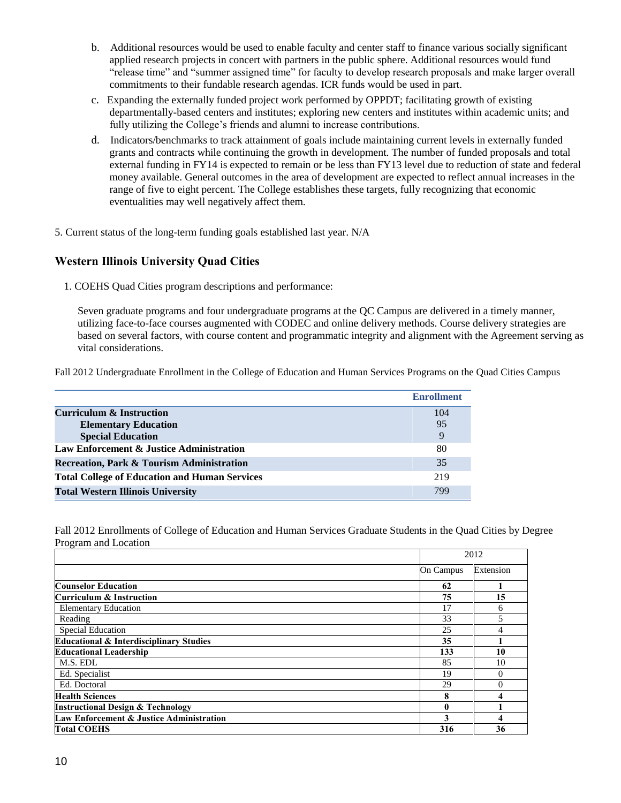- b. Additional resources would be used to enable faculty and center staff to finance various socially significant applied research projects in concert with partners in the public sphere. Additional resources would fund "release time" and "summer assigned time" for faculty to develop research proposals and make larger overall commitments to their fundable research agendas. ICR funds would be used in part.
- c. Expanding the externally funded project work performed by OPPDT; facilitating growth of existing departmentally-based centers and institutes; exploring new centers and institutes within academic units; and fully utilizing the College's friends and alumni to increase contributions.
- d. Indicators/benchmarks to track attainment of goals include maintaining current levels in externally funded grants and contracts while continuing the growth in development. The number of funded proposals and total external funding in FY14 is expected to remain or be less than FY13 level due to reduction of state and federal money available. General outcomes in the area of development are expected to reflect annual increases in the range of five to eight percent. The College establishes these targets, fully recognizing that economic eventualities may well negatively affect them.
- 5. Current status of the long-term funding goals established last year. N/A

## **Western Illinois University Quad Cities**

1. COEHS Quad Cities program descriptions and performance:

Seven graduate programs and four undergraduate programs at the QC Campus are delivered in a timely manner, utilizing face-to-face courses augmented with CODEC and online delivery methods. Course delivery strategies are based on several factors, with course content and programmatic integrity and alignment with the Agreement serving as vital considerations.

Fall 2012 Undergraduate Enrollment in the College of Education and Human Services Programs on the Quad Cities Campus

|                                                      | <b>Enrollment</b> |
|------------------------------------------------------|-------------------|
| <b>Curriculum &amp; Instruction</b>                  | 104               |
| <b>Elementary Education</b>                          | 95                |
| <b>Special Education</b>                             |                   |
| Law Enforcement & Justice Administration             | 80                |
| <b>Recreation, Park &amp; Tourism Administration</b> | 35                |
| <b>Total College of Education and Human Services</b> | 219               |
| <b>Total Western Illinois University</b>             | 799               |

Fall 2012 Enrollments of College of Education and Human Services Graduate Students in the Quad Cities by Degree Program and Location

|                                                    | 2012      |           |
|----------------------------------------------------|-----------|-----------|
|                                                    | On Campus | Extension |
| <b>Counselor Education</b>                         | 62        |           |
| Curriculum & Instruction                           | 75        | 15        |
| <b>Elementary Education</b>                        | 17        | 6         |
| Reading                                            | 33        |           |
| <b>Special Education</b>                           | 25        |           |
| <b>Educational &amp; Interdisciplinary Studies</b> | 35        |           |
| <b>Educational Leadership</b>                      | 133       | 10        |
| M.S. EDL                                           | 85        | 10        |
| Ed. Specialist                                     | 19        | 0         |
| Ed. Doctoral                                       | 29        | $\Omega$  |
| <b>Health Sciences</b>                             | 8         |           |
| <b>Instructional Design &amp; Technology</b>       | 0         |           |
| Law Enforcement & Justice Administration           | 3         |           |
| <b>Total COEHS</b>                                 | 316       | 36        |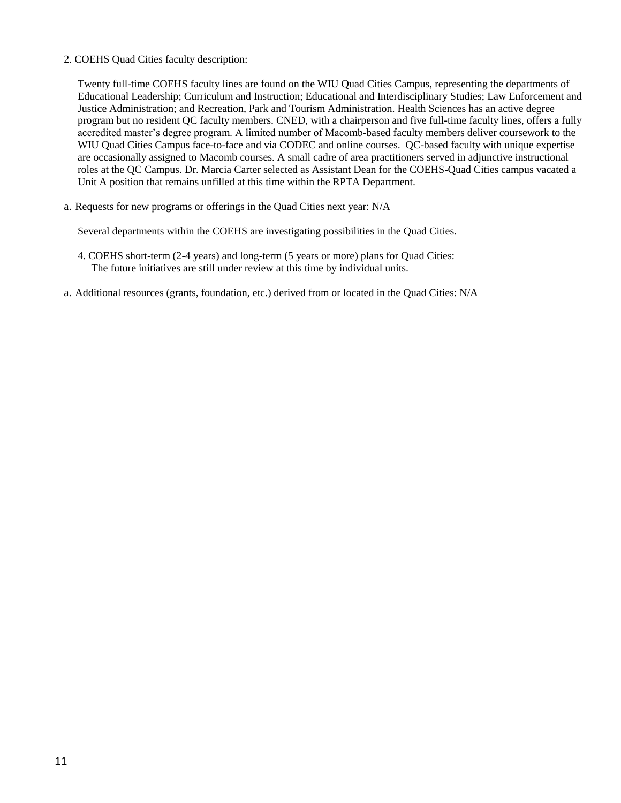#### 2. COEHS Quad Cities faculty description:

Twenty full-time COEHS faculty lines are found on the WIU Quad Cities Campus, representing the departments of Educational Leadership; Curriculum and Instruction; Educational and Interdisciplinary Studies; Law Enforcement and Justice Administration; and Recreation, Park and Tourism Administration. Health Sciences has an active degree program but no resident QC faculty members. CNED, with a chairperson and five full-time faculty lines, offers a fully accredited master's degree program. A limited number of Macomb-based faculty members deliver coursework to the WIU Quad Cities Campus face-to-face and via CODEC and online courses. QC-based faculty with unique expertise are occasionally assigned to Macomb courses. A small cadre of area practitioners served in adjunctive instructional roles at the QC Campus. Dr. Marcia Carter selected as Assistant Dean for the COEHS-Quad Cities campus vacated a Unit A position that remains unfilled at this time within the RPTA Department.

a. Requests for new programs or offerings in the Quad Cities next year: N/A

Several departments within the COEHS are investigating possibilities in the Quad Cities.

- 4. COEHS short-term (2-4 years) and long-term (5 years or more) plans for Quad Cities: The future initiatives are still under review at this time by individual units.
- a. Additional resources (grants, foundation, etc.) derived from or located in the Quad Cities: N/A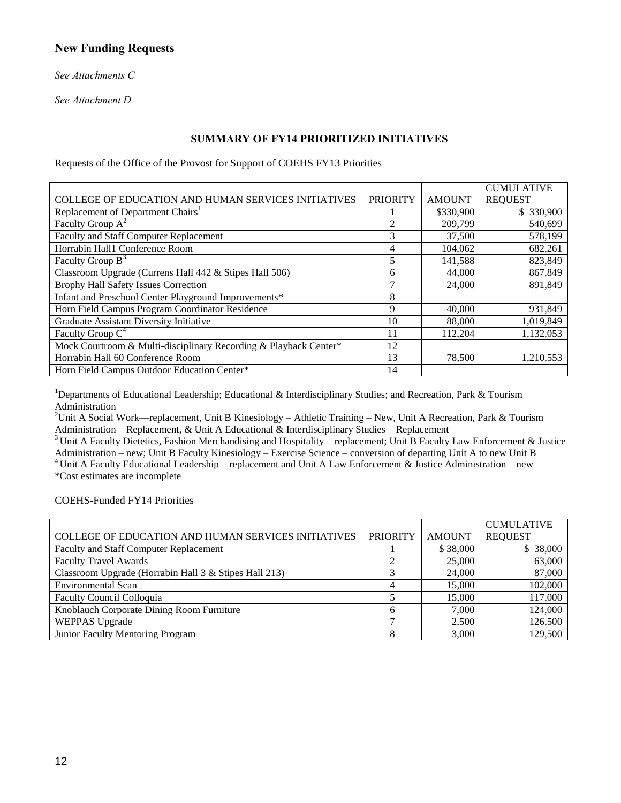## **New Funding Requests**

*See Attachments C*

*See Attachment D*

## **SUMMARY OF FY14 PRIORITIZED INITIATIVES**

Requests of the Office of the Provost for Support of COEHS FY13 Priorities

|                                                                  |                          |               | <b>CUMULATIVE</b> |
|------------------------------------------------------------------|--------------------------|---------------|-------------------|
| COLLEGE OF EDUCATION AND HUMAN SERVICES INITIATIVES              | <b>PRIORITY</b>          | <b>AMOUNT</b> | <b>REQUEST</b>    |
| Replacement of Department Chairs <sup>1</sup>                    |                          | \$330,900     | \$ 330,900        |
| Faculty Group $A^2$                                              | $\mathfrak{D}$           | 209,799       | 540,699           |
| Faculty and Staff Computer Replacement                           | 3                        | 37,500        | 578,199           |
| Horrabin Hall1 Conference Room                                   | 4                        | 104.062       | 682,261           |
| Faculty Group $B^3$                                              | $\overline{\phantom{0}}$ | 141,588       | 823,849           |
| Classroom Upgrade (Currens Hall 442 & Stipes Hall 506)           | 6                        | 44,000        | 867,849           |
| Brophy Hall Safety Issues Correction                             |                          | 24,000        | 891,849           |
| Infant and Preschool Center Playground Improvements*             | 8                        |               |                   |
| Horn Field Campus Program Coordinator Residence                  | 9                        | 40,000        | 931,849           |
| Graduate Assistant Diversity Initiative                          | 10                       | 88,000        | 1,019,849         |
| Faculty Group $C^4$                                              | 11                       | 112,204       | 1,132,053         |
| Mock Courtroom & Multi-disciplinary Recording & Playback Center* | 12                       |               |                   |
| Horrabin Hall 60 Conference Room                                 | 13                       | 78,500        | 1,210,553         |
| Horn Field Campus Outdoor Education Center*                      | 14                       |               |                   |

<sup>1</sup>Departments of Educational Leadership; Educational & Interdisciplinary Studies; and Recreation, Park & Tourism Administration

<sup>2</sup>Unit A Social Work—replacement, Unit B Kinesiology – Athletic Training – New, Unit A Recreation, Park & Tourism Administration – Replacement, & Unit A Educational & Interdisciplinary Studies – Replacement

<sup>3</sup> Unit A Faculty Dietetics, Fashion Merchandising and Hospitality – replacement; Unit B Faculty Law Enforcement & Justice Administration – new; Unit B Faculty Kinesiology – Exercise Science – conversion of departing Unit A to new Unit B <sup>4</sup> Unit A Faculty Educational Leadership – replacement and Unit A Law Enforcement & Justice Administration – new \*Cost estimates are incomplete

COEHS-Funded FY14 Priorities

|                                                            |                 |               | <b>CUMULATIVE</b> |
|------------------------------------------------------------|-----------------|---------------|-------------------|
| <b>COLLEGE OF EDUCATION AND HUMAN SERVICES INITIATIVES</b> | <b>PRIORITY</b> | <b>AMOUNT</b> | <b>REQUEST</b>    |
| Faculty and Staff Computer Replacement                     |                 | \$38,000      | \$38,000          |
| <b>Faculty Travel Awards</b>                               |                 | 25,000        | 63,000            |
| Classroom Upgrade (Horrabin Hall 3 & Stipes Hall 213)      |                 | 24,000        | 87,000            |
| <b>Environmental Scan</b>                                  |                 | 15,000        | 102,000           |
| Faculty Council Colloquia                                  |                 | 15,000        | 117,000           |
| Knoblauch Corporate Dining Room Furniture                  |                 | 7.000         | 124,000           |
| <b>WEPPAS Upgrade</b>                                      |                 | 2.500         | 126,500           |
| Junior Faculty Mentoring Program                           |                 | 3,000         | 129,500           |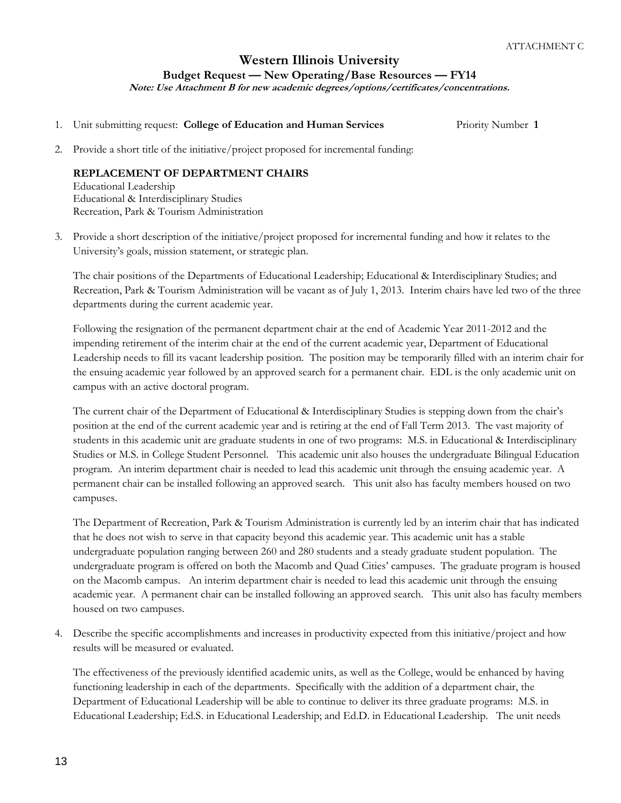## **Western Illinois University Budget Request — New Operating/Base Resources — FY14 Note: Use Attachment B for new academic degrees/options/certificates/concentrations.**

1. Unit submitting request: **College of Education and Human Services** Priority Number **1**

2. Provide a short title of the initiative/project proposed for incremental funding:

## **REPLACEMENT OF DEPARTMENT CHAIRS**

Educational Leadership Educational & Interdisciplinary Studies Recreation, Park & Tourism Administration

3. Provide a short description of the initiative/project proposed for incremental funding and how it relates to the University's goals, mission statement, or strategic plan.

The chair positions of the Departments of Educational Leadership; Educational & Interdisciplinary Studies; and Recreation, Park & Tourism Administration will be vacant as of July 1, 2013. Interim chairs have led two of the three departments during the current academic year.

Following the resignation of the permanent department chair at the end of Academic Year 2011-2012 and the impending retirement of the interim chair at the end of the current academic year, Department of Educational Leadership needs to fill its vacant leadership position. The position may be temporarily filled with an interim chair for the ensuing academic year followed by an approved search for a permanent chair. EDL is the only academic unit on campus with an active doctoral program.

The current chair of the Department of Educational & Interdisciplinary Studies is stepping down from the chair's position at the end of the current academic year and is retiring at the end of Fall Term 2013. The vast majority of students in this academic unit are graduate students in one of two programs: M.S. in Educational & Interdisciplinary Studies or M.S. in College Student Personnel. This academic unit also houses the undergraduate Bilingual Education program. An interim department chair is needed to lead this academic unit through the ensuing academic year. A permanent chair can be installed following an approved search. This unit also has faculty members housed on two campuses.

The Department of Recreation, Park & Tourism Administration is currently led by an interim chair that has indicated that he does not wish to serve in that capacity beyond this academic year. This academic unit has a stable undergraduate population ranging between 260 and 280 students and a steady graduate student population. The undergraduate program is offered on both the Macomb and Quad Cities' campuses. The graduate program is housed on the Macomb campus. An interim department chair is needed to lead this academic unit through the ensuing academic year. A permanent chair can be installed following an approved search. This unit also has faculty members housed on two campuses.

4. Describe the specific accomplishments and increases in productivity expected from this initiative/project and how results will be measured or evaluated.

The effectiveness of the previously identified academic units, as well as the College, would be enhanced by having functioning leadership in each of the departments. Specifically with the addition of a department chair, the Department of Educational Leadership will be able to continue to deliver its three graduate programs: M.S. in Educational Leadership; Ed.S. in Educational Leadership; and Ed.D. in Educational Leadership. The unit needs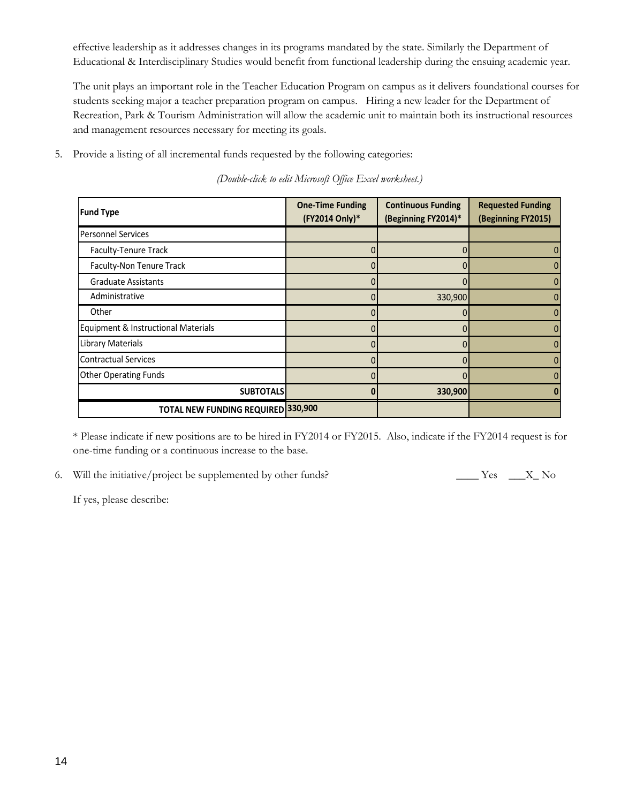effective leadership as it addresses changes in its programs mandated by the state. Similarly the Department of Educational & Interdisciplinary Studies would benefit from functional leadership during the ensuing academic year.

The unit plays an important role in the Teacher Education Program on campus as it delivers foundational courses for students seeking major a teacher preparation program on campus. Hiring a new leader for the Department of Recreation, Park & Tourism Administration will allow the academic unit to maintain both its instructional resources and management resources necessary for meeting its goals.

5. Provide a listing of all incremental funds requested by the following categories:

| <b>Fund Type</b>                    | <b>One-Time Funding</b><br>(FY2014 Only)* | <b>Continuous Funding</b><br>(Beginning FY2014)* | <b>Requested Funding</b><br>(Beginning FY2015) |
|-------------------------------------|-------------------------------------------|--------------------------------------------------|------------------------------------------------|
| <b>Personnel Services</b>           |                                           |                                                  |                                                |
| Faculty-Tenure Track                |                                           |                                                  |                                                |
| Faculty-Non Tenure Track            |                                           |                                                  |                                                |
| <b>Graduate Assistants</b>          |                                           |                                                  |                                                |
| Administrative                      |                                           | 330,900                                          |                                                |
| Other                               |                                           |                                                  |                                                |
| Equipment & Instructional Materials |                                           |                                                  |                                                |
| Library Materials                   |                                           |                                                  |                                                |
| Contractual Services                |                                           |                                                  |                                                |
| <b>Other Operating Funds</b>        |                                           |                                                  |                                                |
| <b>SUBTOTALS</b>                    |                                           | 330,900                                          |                                                |
| TOTAL NEW FUNDING REQUIRED 330,900  |                                           |                                                  |                                                |

*(Double-click to edit Microsoft Office Excel worksheet.)*

\* Please indicate if new positions are to be hired in FY2014 or FY2015. Also, indicate if the FY2014 request is for one-time funding or a continuous increase to the base.

<sup>6.</sup> Will the initiative/project be supplemented by other funds? \_\_\_\_\_\_ Yes \_\_\_\_X\_ No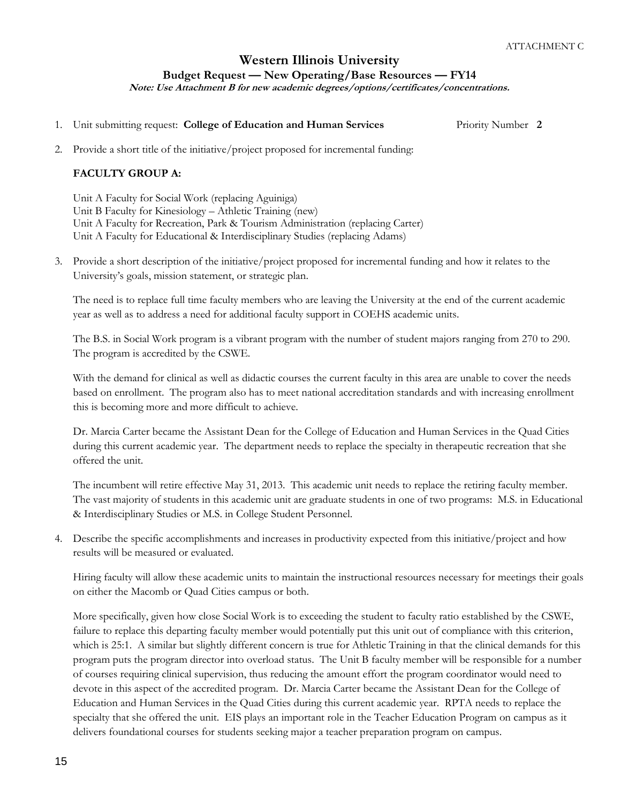**Note: Use Attachment B for new academic degrees/options/certificates/concentrations.**

1. Unit submitting request: **College of Education and Human Services** Priority Number **2**

2. Provide a short title of the initiative/project proposed for incremental funding:

## **FACULTY GROUP A:**

Unit A Faculty for Social Work (replacing Aguiniga) Unit B Faculty for Kinesiology – Athletic Training (new) Unit A Faculty for Recreation, Park & Tourism Administration (replacing Carter) Unit A Faculty for Educational & Interdisciplinary Studies (replacing Adams)

3. Provide a short description of the initiative/project proposed for incremental funding and how it relates to the University's goals, mission statement, or strategic plan.

The need is to replace full time faculty members who are leaving the University at the end of the current academic year as well as to address a need for additional faculty support in COEHS academic units.

The B.S. in Social Work program is a vibrant program with the number of student majors ranging from 270 to 290. The program is accredited by the CSWE.

With the demand for clinical as well as didactic courses the current faculty in this area are unable to cover the needs based on enrollment. The program also has to meet national accreditation standards and with increasing enrollment this is becoming more and more difficult to achieve.

Dr. Marcia Carter became the Assistant Dean for the College of Education and Human Services in the Quad Cities during this current academic year. The department needs to replace the specialty in therapeutic recreation that she offered the unit.

The incumbent will retire effective May 31, 2013. This academic unit needs to replace the retiring faculty member. The vast majority of students in this academic unit are graduate students in one of two programs: M.S. in Educational & Interdisciplinary Studies or M.S. in College Student Personnel.

4. Describe the specific accomplishments and increases in productivity expected from this initiative/project and how results will be measured or evaluated.

Hiring faculty will allow these academic units to maintain the instructional resources necessary for meetings their goals on either the Macomb or Quad Cities campus or both.

More specifically, given how close Social Work is to exceeding the student to faculty ratio established by the CSWE, failure to replace this departing faculty member would potentially put this unit out of compliance with this criterion, which is 25:1. A similar but slightly different concern is true for Athletic Training in that the clinical demands for this program puts the program director into overload status. The Unit B faculty member will be responsible for a number of courses requiring clinical supervision, thus reducing the amount effort the program coordinator would need to devote in this aspect of the accredited program. Dr. Marcia Carter became the Assistant Dean for the College of Education and Human Services in the Quad Cities during this current academic year. RPTA needs to replace the specialty that she offered the unit. EIS plays an important role in the Teacher Education Program on campus as it delivers foundational courses for students seeking major a teacher preparation program on campus.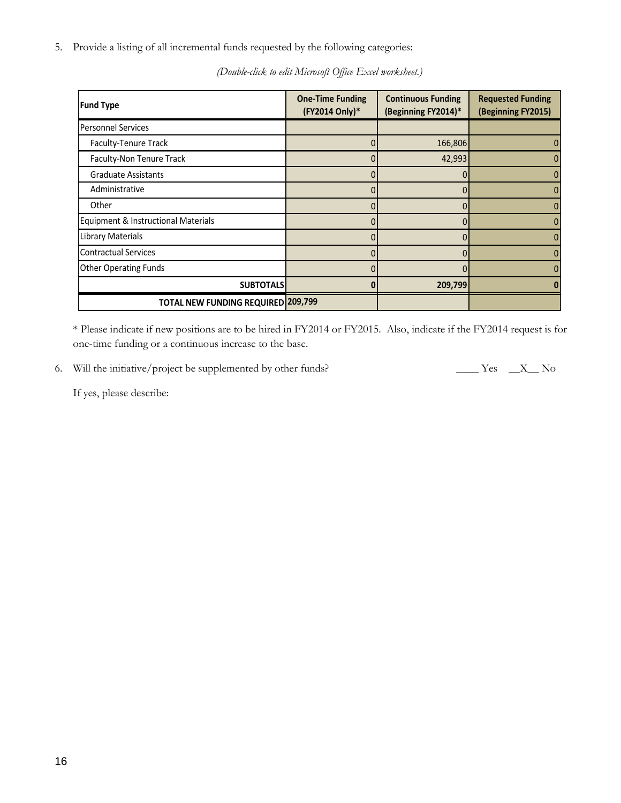5. Provide a listing of all incremental funds requested by the following categories:

| <b>Fund Type</b>                    | <b>One-Time Funding</b><br>(FY2014 Only)* | <b>Continuous Funding</b><br>(Beginning FY2014)* | <b>Requested Funding</b><br>(Beginning FY2015) |
|-------------------------------------|-------------------------------------------|--------------------------------------------------|------------------------------------------------|
| <b>Personnel Services</b>           |                                           |                                                  |                                                |
| Faculty-Tenure Track                |                                           | 166,806                                          |                                                |
| Faculty-Non Tenure Track            | 0                                         | 42,993                                           |                                                |
| <b>Graduate Assistants</b>          |                                           |                                                  |                                                |
| Administrative                      | 0                                         | 0                                                |                                                |
| Other                               |                                           |                                                  |                                                |
| Equipment & Instructional Materials |                                           |                                                  |                                                |
| Library Materials                   |                                           |                                                  |                                                |
| <b>Contractual Services</b>         |                                           |                                                  |                                                |
| <b>Other Operating Funds</b>        |                                           |                                                  |                                                |
| <b>SUBTOTALS</b>                    |                                           | 209,799                                          |                                                |
| TOTAL NEW FUNDING REQUIRED 209,799  |                                           |                                                  |                                                |

*(Double-click to edit Microsoft Office Excel worksheet.)*

\* Please indicate if new positions are to be hired in FY2014 or FY2015. Also, indicate if the FY2014 request is for one-time funding or a continuous increase to the base.

6. Will the initiative/project be supplemented by other funds? \_\_\_\_\_\_ Yes \_\_\_X\_\_ No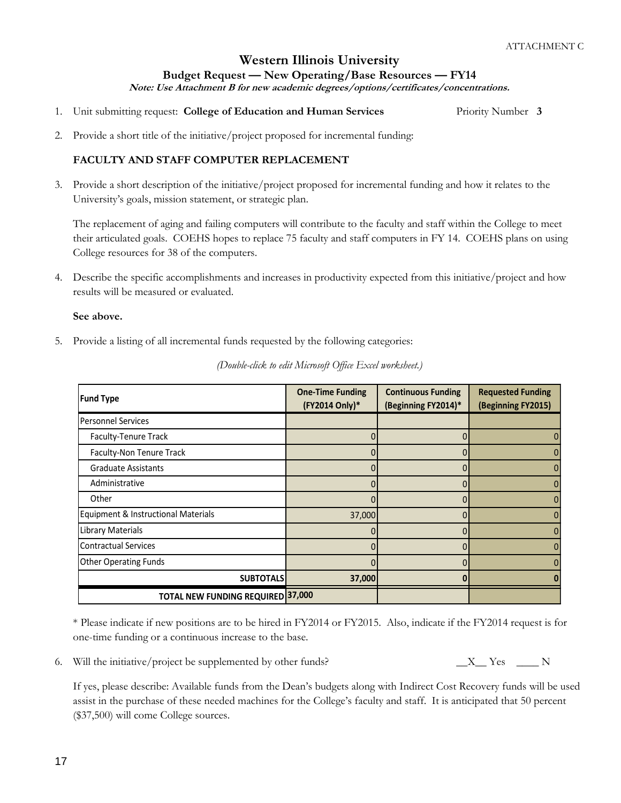# **Western Illinois University**

**Budget Request — New Operating/Base Resources — FY14**

**Note: Use Attachment B for new academic degrees/options/certificates/concentrations.**

- 1. Unit submitting request: **College of Education and Human Services** Priority Number **3**
- 2. Provide a short title of the initiative/project proposed for incremental funding:

## **FACULTY AND STAFF COMPUTER REPLACEMENT**

3. Provide a short description of the initiative/project proposed for incremental funding and how it relates to the University's goals, mission statement, or strategic plan.

The replacement of aging and failing computers will contribute to the faculty and staff within the College to meet their articulated goals. COEHS hopes to replace 75 faculty and staff computers in FY 14. COEHS plans on using College resources for 38 of the computers.

4. Describe the specific accomplishments and increases in productivity expected from this initiative/project and how results will be measured or evaluated.

#### **See above.**

5. Provide a listing of all incremental funds requested by the following categories:

| <b>Fund Type</b>                         | <b>One-Time Funding</b><br>(FY2014 Only)* | <b>Continuous Funding</b><br>(Beginning FY2014)* | <b>Requested Funding</b><br>(Beginning FY2015) |
|------------------------------------------|-------------------------------------------|--------------------------------------------------|------------------------------------------------|
| <b>Personnel Services</b>                |                                           |                                                  |                                                |
| Faculty-Tenure Track                     |                                           |                                                  | 0                                              |
| Faculty-Non Tenure Track                 |                                           |                                                  | 0                                              |
| <b>Graduate Assistants</b>               |                                           |                                                  | $\mathbf{0}$                                   |
| Administrative                           |                                           |                                                  | $\mathbf{0}$                                   |
| Other                                    |                                           |                                                  | 0                                              |
| Equipment & Instructional Materials      | 37,000                                    |                                                  | $\mathbf{0}$                                   |
| <b>Library Materials</b>                 |                                           |                                                  | 0                                              |
| Contractual Services                     |                                           |                                                  | $\mathbf{0}$                                   |
| <b>Other Operating Funds</b>             |                                           |                                                  | $\mathbf{0}$                                   |
| <b>SUBTOTALS</b>                         | 37,000                                    |                                                  |                                                |
| <b>TOTAL NEW FUNDING REQUIRED 37,000</b> |                                           |                                                  |                                                |

*(Double-click to edit Microsoft Office Excel worksheet.)*

\* Please indicate if new positions are to be hired in FY2014 or FY2015. Also, indicate if the FY2014 request is for one-time funding or a continuous increase to the base.

6. Will the initiative/project be supplemented by other funds?  $X_X = X_{\text{max}} - X$ 

If yes, please describe: Available funds from the Dean's budgets along with Indirect Cost Recovery funds will be used assist in the purchase of these needed machines for the College's faculty and staff. It is anticipated that 50 percent (\$37,500) will come College sources.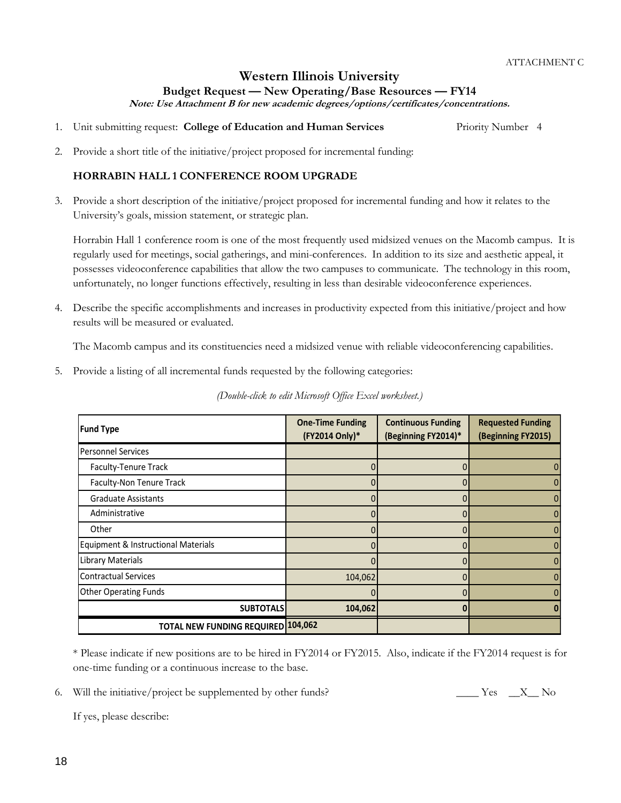**Note: Use Attachment B for new academic degrees/options/certificates/concentrations.**

1. Unit submitting request: **College of Education and Human Services** Priority Number 4

2. Provide a short title of the initiative/project proposed for incremental funding:

## **HORRABIN HALL 1 CONFERENCE ROOM UPGRADE**

3. Provide a short description of the initiative/project proposed for incremental funding and how it relates to the University's goals, mission statement, or strategic plan.

Horrabin Hall 1 conference room is one of the most frequently used midsized venues on the Macomb campus. It is regularly used for meetings, social gatherings, and mini-conferences. In addition to its size and aesthetic appeal, it possesses videoconference capabilities that allow the two campuses to communicate. The technology in this room, unfortunately, no longer functions effectively, resulting in less than desirable videoconference experiences.

4. Describe the specific accomplishments and increases in productivity expected from this initiative/project and how results will be measured or evaluated.

The Macomb campus and its constituencies need a midsized venue with reliable videoconferencing capabilities.

5. Provide a listing of all incremental funds requested by the following categories:

| <b>Fund Type</b>                          | <b>One-Time Funding</b><br>(FY2014 Only)* | <b>Continuous Funding</b><br>(Beginning FY2014)* | <b>Requested Funding</b><br>(Beginning FY2015) |
|-------------------------------------------|-------------------------------------------|--------------------------------------------------|------------------------------------------------|
| Personnel Services                        |                                           |                                                  |                                                |
| Faculty-Tenure Track                      |                                           |                                                  |                                                |
| Faculty-Non Tenure Track                  |                                           |                                                  |                                                |
| <b>Graduate Assistants</b>                |                                           |                                                  |                                                |
| Administrative                            |                                           |                                                  |                                                |
| Other                                     |                                           |                                                  |                                                |
| Equipment & Instructional Materials       |                                           |                                                  |                                                |
| Library Materials                         |                                           |                                                  |                                                |
| Contractual Services                      | 104,062                                   |                                                  |                                                |
| <b>Other Operating Funds</b>              |                                           |                                                  |                                                |
| <b>SUBTOTALS</b>                          | 104,062                                   |                                                  |                                                |
| <b>TOTAL NEW FUNDING REQUIRED 104,062</b> |                                           |                                                  |                                                |

*(Double-click to edit Microsoft Office Excel worksheet.)*

\* Please indicate if new positions are to be hired in FY2014 or FY2015. Also, indicate if the FY2014 request is for one-time funding or a continuous increase to the base.

6. Will the initiative/project be supplemented by other funds? \_\_\_\_\_\_ Yes \_\_\_X\_\_ No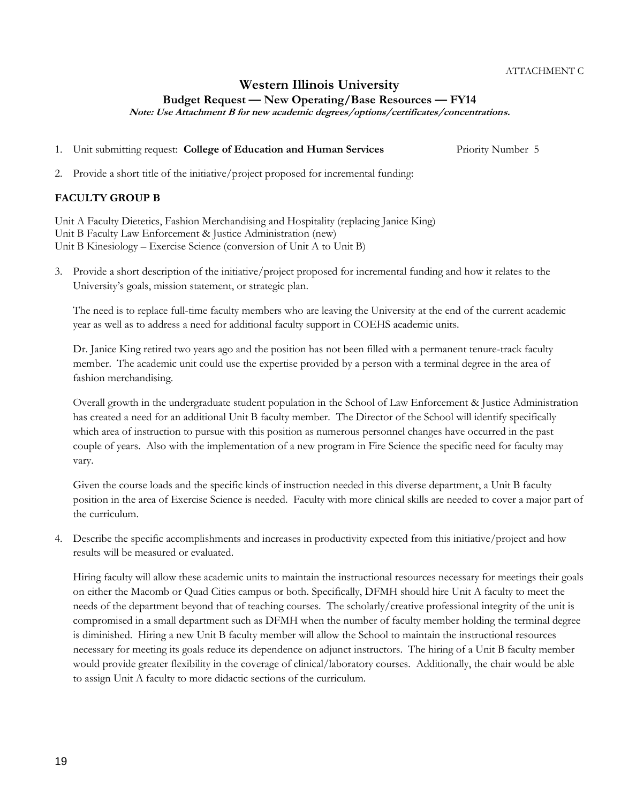## **Western Illinois University**

**Budget Request — New Operating/Base Resources — FY14**

**Note: Use Attachment B for new academic degrees/options/certificates/concentrations.**

1. Unit submitting request: **College of Education and Human Services** Priority Number 5

2. Provide a short title of the initiative/project proposed for incremental funding:

## **FACULTY GROUP B**

Unit A Faculty Dietetics, Fashion Merchandising and Hospitality (replacing Janice King) Unit B Faculty Law Enforcement & Justice Administration (new) Unit B Kinesiology – Exercise Science (conversion of Unit A to Unit B)

3. Provide a short description of the initiative/project proposed for incremental funding and how it relates to the University's goals, mission statement, or strategic plan.

The need is to replace full-time faculty members who are leaving the University at the end of the current academic year as well as to address a need for additional faculty support in COEHS academic units.

Dr. Janice King retired two years ago and the position has not been filled with a permanent tenure-track faculty member. The academic unit could use the expertise provided by a person with a terminal degree in the area of fashion merchandising.

Overall growth in the undergraduate student population in the School of Law Enforcement & Justice Administration has created a need for an additional Unit B faculty member. The Director of the School will identify specifically which area of instruction to pursue with this position as numerous personnel changes have occurred in the past couple of years. Also with the implementation of a new program in Fire Science the specific need for faculty may vary.

Given the course loads and the specific kinds of instruction needed in this diverse department, a Unit B faculty position in the area of Exercise Science is needed. Faculty with more clinical skills are needed to cover a major part of the curriculum.

4. Describe the specific accomplishments and increases in productivity expected from this initiative/project and how results will be measured or evaluated.

Hiring faculty will allow these academic units to maintain the instructional resources necessary for meetings their goals on either the Macomb or Quad Cities campus or both. Specifically, DFMH should hire Unit A faculty to meet the needs of the department beyond that of teaching courses. The scholarly/creative professional integrity of the unit is compromised in a small department such as DFMH when the number of faculty member holding the terminal degree is diminished. Hiring a new Unit B faculty member will allow the School to maintain the instructional resources necessary for meeting its goals reduce its dependence on adjunct instructors. The hiring of a Unit B faculty member would provide greater flexibility in the coverage of clinical/laboratory courses. Additionally, the chair would be able to assign Unit A faculty to more didactic sections of the curriculum.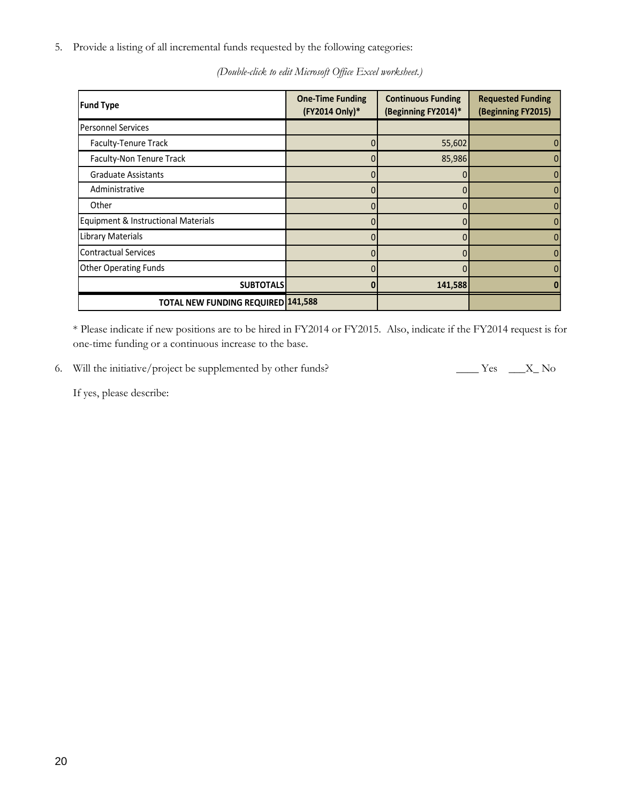5. Provide a listing of all incremental funds requested by the following categories:

| <b>Fund Type</b>                    | <b>One-Time Funding</b><br>(FY2014 Only)* | <b>Continuous Funding</b><br>(Beginning FY2014)* | <b>Requested Funding</b><br>(Beginning FY2015) |
|-------------------------------------|-------------------------------------------|--------------------------------------------------|------------------------------------------------|
| <b>Personnel Services</b>           |                                           |                                                  |                                                |
| Faculty-Tenure Track                |                                           | 55,602                                           |                                                |
| Faculty-Non Tenure Track            |                                           | 85,986                                           |                                                |
| <b>Graduate Assistants</b>          |                                           |                                                  |                                                |
| Administrative                      | 0                                         | 0                                                |                                                |
| Other                               |                                           |                                                  |                                                |
| Equipment & Instructional Materials |                                           |                                                  |                                                |
| <b>Library Materials</b>            |                                           |                                                  |                                                |
| <b>Contractual Services</b>         |                                           |                                                  |                                                |
| <b>Other Operating Funds</b>        |                                           |                                                  |                                                |
| <b>SUBTOTALS</b>                    |                                           | 141,588                                          |                                                |
| TOTAL NEW FUNDING REQUIRED 141,588  |                                           |                                                  |                                                |

*(Double-click to edit Microsoft Office Excel worksheet.)*

\* Please indicate if new positions are to be hired in FY2014 or FY2015. Also, indicate if the FY2014 request is for one-time funding or a continuous increase to the base.

6. Will the initiative/project be supplemented by other funds? \_\_\_\_\_\_ Yes \_\_\_\_X\_ No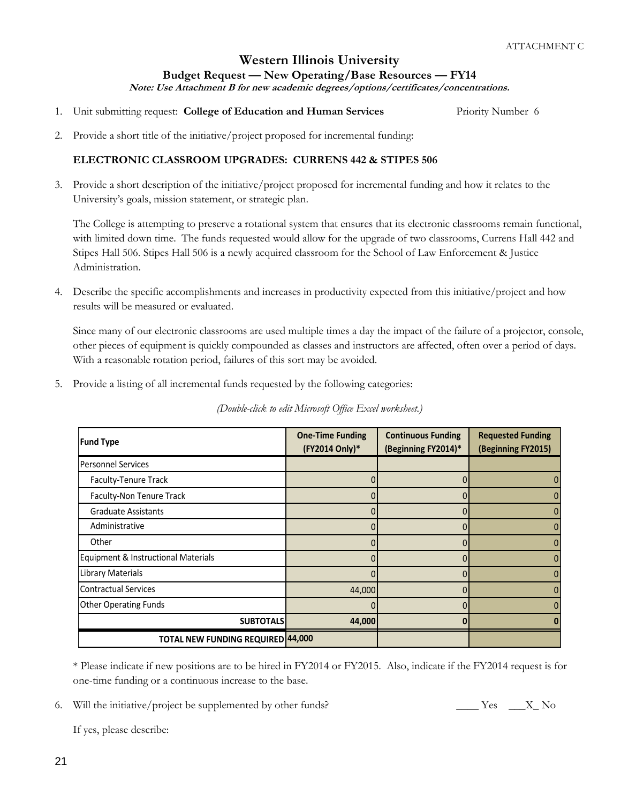**Note: Use Attachment B for new academic degrees/options/certificates/concentrations.**

1. Unit submitting request: **College of Education and Human Services** Priority Number 6

2. Provide a short title of the initiative/project proposed for incremental funding:

## **ELECTRONIC CLASSROOM UPGRADES: CURRENS 442 & STIPES 506**

3. Provide a short description of the initiative/project proposed for incremental funding and how it relates to the University's goals, mission statement, or strategic plan.

The College is attempting to preserve a rotational system that ensures that its electronic classrooms remain functional, with limited down time. The funds requested would allow for the upgrade of two classrooms, Currens Hall 442 and Stipes Hall 506. Stipes Hall 506 is a newly acquired classroom for the School of Law Enforcement & Justice Administration.

4. Describe the specific accomplishments and increases in productivity expected from this initiative/project and how results will be measured or evaluated.

Since many of our electronic classrooms are used multiple times a day the impact of the failure of a projector, console, other pieces of equipment is quickly compounded as classes and instructors are affected, often over a period of days. With a reasonable rotation period, failures of this sort may be avoided.

5. Provide a listing of all incremental funds requested by the following categories:

| <b>Fund Type</b>                         | <b>One-Time Funding</b><br>(FY2014 Only)* | <b>Continuous Funding</b><br>(Beginning FY2014)* | <b>Requested Funding</b><br>(Beginning FY2015) |
|------------------------------------------|-------------------------------------------|--------------------------------------------------|------------------------------------------------|
| <b>Personnel Services</b>                |                                           |                                                  |                                                |
| Faculty-Tenure Track                     |                                           |                                                  |                                                |
| <b>Faculty-Non Tenure Track</b>          |                                           |                                                  |                                                |
| <b>Graduate Assistants</b>               |                                           |                                                  |                                                |
| Administrative                           |                                           | $\overline{0}$                                   |                                                |
| Other                                    |                                           |                                                  |                                                |
| Equipment & Instructional Materials      |                                           |                                                  |                                                |
| Library Materials                        |                                           |                                                  |                                                |
| <b>Contractual Services</b>              | 44,000                                    | 0                                                |                                                |
| <b>Other Operating Funds</b>             |                                           |                                                  |                                                |
| <b>SUBTOTALS</b>                         | 44,000                                    | n                                                |                                                |
| <b>TOTAL NEW FUNDING REQUIRED 44,000</b> |                                           |                                                  |                                                |

*(Double-click to edit Microsoft Office Excel worksheet.)*

\* Please indicate if new positions are to be hired in FY2014 or FY2015. Also, indicate if the FY2014 request is for one-time funding or a continuous increase to the base.

6. Will the initiative/project be supplemented by other funds?  $\begin{array}{ccc} \text{Yes} & \text{X} \text{No} \end{array}$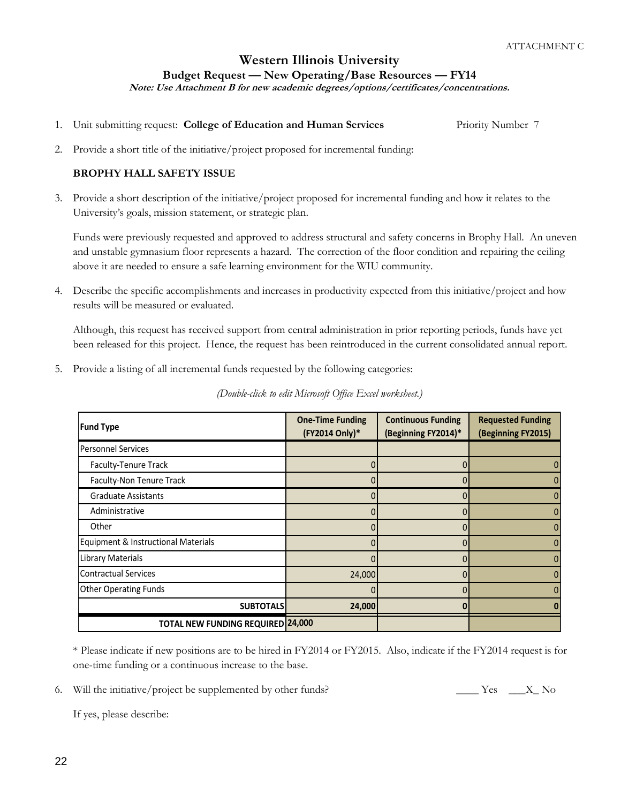**Note: Use Attachment B for new academic degrees/options/certificates/concentrations.**

1. Unit submitting request: **College of Education and Human Services** Priority Number 7

2. Provide a short title of the initiative/project proposed for incremental funding:

## **BROPHY HALL SAFETY ISSUE**

3. Provide a short description of the initiative/project proposed for incremental funding and how it relates to the University's goals, mission statement, or strategic plan.

Funds were previously requested and approved to address structural and safety concerns in Brophy Hall. An uneven and unstable gymnasium floor represents a hazard. The correction of the floor condition and repairing the ceiling above it are needed to ensure a safe learning environment for the WIU community.

4. Describe the specific accomplishments and increases in productivity expected from this initiative/project and how results will be measured or evaluated.

Although, this request has received support from central administration in prior reporting periods, funds have yet been released for this project. Hence, the request has been reintroduced in the current consolidated annual report.

5. Provide a listing of all incremental funds requested by the following categories:

| <b>Fund Type</b>                         | <b>One-Time Funding</b><br>(FY2014 Only)* | <b>Continuous Funding</b><br>(Beginning FY2014)* | <b>Requested Funding</b><br>(Beginning FY2015) |
|------------------------------------------|-------------------------------------------|--------------------------------------------------|------------------------------------------------|
| Personnel Services                       |                                           |                                                  |                                                |
| Faculty-Tenure Track                     |                                           |                                                  |                                                |
| Faculty-Non Tenure Track                 |                                           |                                                  |                                                |
| <b>Graduate Assistants</b>               |                                           |                                                  |                                                |
| Administrative                           |                                           |                                                  |                                                |
| Other                                    |                                           |                                                  |                                                |
| Equipment & Instructional Materials      |                                           |                                                  |                                                |
| Library Materials                        |                                           |                                                  |                                                |
| <b>Contractual Services</b>              | 24,000                                    |                                                  |                                                |
| <b>Other Operating Funds</b>             |                                           |                                                  |                                                |
| <b>SUBTOTALS</b>                         | 24,000                                    |                                                  |                                                |
| <b>TOTAL NEW FUNDING REQUIRED 24,000</b> |                                           |                                                  |                                                |

*(Double-click to edit Microsoft Office Excel worksheet.)*

\* Please indicate if new positions are to be hired in FY2014 or FY2015. Also, indicate if the FY2014 request is for one-time funding or a continuous increase to the base.

6. Will the initiative/project be supplemented by other funds?  $\angle$  Yes  $\angle$  X No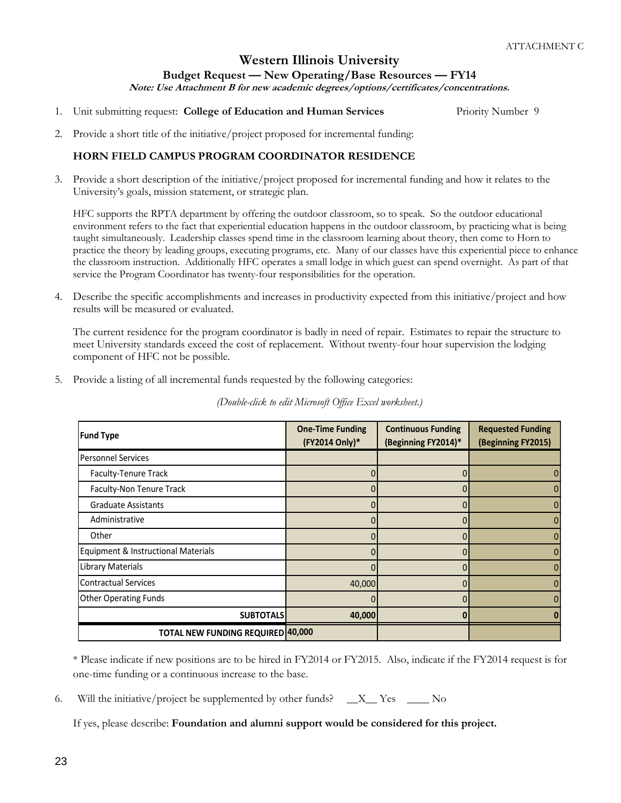**Note: Use Attachment B for new academic degrees/options/certificates/concentrations.**

1. Unit submitting request: **College of Education and Human Services** Priority Number 9

2. Provide a short title of the initiative/project proposed for incremental funding:

## **HORN FIELD CAMPUS PROGRAM COORDINATOR RESIDENCE**

3. Provide a short description of the initiative/project proposed for incremental funding and how it relates to the University's goals, mission statement, or strategic plan.

HFC supports the RPTA department by offering the outdoor classroom, so to speak. So the outdoor educational environment refers to the fact that experiential education happens in the outdoor classroom, by practicing what is being taught simultaneously. Leadership classes spend time in the classroom learning about theory, then come to Horn to practice the theory by leading groups, executing programs, etc. Many of our classes have this experiential piece to enhance the classroom instruction. Additionally HFC operates a small lodge in which guest can spend overnight. As part of that service the Program Coordinator has twenty-four responsibilities for the operation.

4. Describe the specific accomplishments and increases in productivity expected from this initiative/project and how results will be measured or evaluated.

The current residence for the program coordinator is badly in need of repair. Estimates to repair the structure to meet University standards exceed the cost of replacement. Without twenty-four hour supervision the lodging component of HFC not be possible.

5. Provide a listing of all incremental funds requested by the following categories:

| <b>Fund Type</b>                    | <b>One-Time Funding</b><br>(FY2014 Only)* | <b>Continuous Funding</b><br>(Beginning FY2014)* | <b>Requested Funding</b><br>(Beginning FY2015) |
|-------------------------------------|-------------------------------------------|--------------------------------------------------|------------------------------------------------|
| <b>Personnel Services</b>           |                                           |                                                  |                                                |
| Faculty-Tenure Track                |                                           |                                                  |                                                |
| Faculty-Non Tenure Track            | N                                         | $\Omega$                                         |                                                |
| <b>Graduate Assistants</b>          |                                           |                                                  |                                                |
| Administrative                      |                                           | 0                                                |                                                |
| Other                               |                                           |                                                  |                                                |
| Equipment & Instructional Materials |                                           |                                                  |                                                |
| Library Materials                   |                                           | $\Omega$                                         |                                                |
| <b>Contractual Services</b>         | 40,000                                    | <sup>0</sup>                                     |                                                |
| <b>Other Operating Funds</b>        |                                           |                                                  |                                                |
| <b>SUBTOTALS</b>                    | 40,000                                    | n                                                |                                                |
| TOTAL NEW FUNDING REQUIRED 40,000   |                                           |                                                  |                                                |

*(Double-click to edit Microsoft Office Excel worksheet.)*

\* Please indicate if new positions are to be hired in FY2014 or FY2015. Also, indicate if the FY2014 request is for one-time funding or a continuous increase to the base.

6. Will the initiative/project be supplemented by other funds?  $X_{\text{max}}$  Yes  $X_{\text{max}}$  No

If yes, please describe: **Foundation and alumni support would be considered for this project.**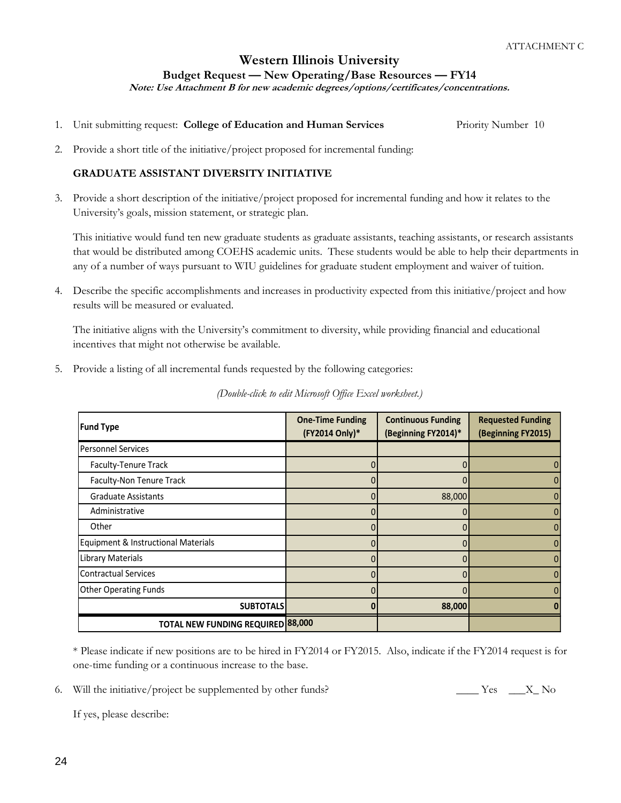**Note: Use Attachment B for new academic degrees/options/certificates/concentrations.**

- 1. Unit submitting request: **College of Education and Human Services** Priority Number 10
- 2. Provide a short title of the initiative/project proposed for incremental funding:

## **GRADUATE ASSISTANT DIVERSITY INITIATIVE**

3. Provide a short description of the initiative/project proposed for incremental funding and how it relates to the University's goals, mission statement, or strategic plan.

This initiative would fund ten new graduate students as graduate assistants, teaching assistants, or research assistants that would be distributed among COEHS academic units. These students would be able to help their departments in any of a number of ways pursuant to WIU guidelines for graduate student employment and waiver of tuition.

4. Describe the specific accomplishments and increases in productivity expected from this initiative/project and how results will be measured or evaluated.

The initiative aligns with the University's commitment to diversity, while providing financial and educational incentives that might not otherwise be available.

5. Provide a listing of all incremental funds requested by the following categories:

| <b>Fund Type</b>                    | <b>One-Time Funding</b><br>(FY2014 Only)* | <b>Continuous Funding</b><br>(Beginning FY2014)* | <b>Requested Funding</b><br>(Beginning FY2015) |
|-------------------------------------|-------------------------------------------|--------------------------------------------------|------------------------------------------------|
| Personnel Services                  |                                           |                                                  |                                                |
| Faculty-Tenure Track                |                                           |                                                  |                                                |
| Faculty-Non Tenure Track            |                                           |                                                  |                                                |
| <b>Graduate Assistants</b>          |                                           | 88,000                                           |                                                |
| Administrative                      |                                           |                                                  |                                                |
| Other                               |                                           |                                                  |                                                |
| Equipment & Instructional Materials |                                           |                                                  |                                                |
| Library Materials                   |                                           |                                                  |                                                |
| <b>Contractual Services</b>         |                                           |                                                  |                                                |
| <b>Other Operating Funds</b>        |                                           |                                                  |                                                |
| <b>SUBTOTALS</b>                    |                                           | 88,000                                           |                                                |
| TOTAL NEW FUNDING REQUIRED 88,000   |                                           |                                                  |                                                |

*(Double-click to edit Microsoft Office Excel worksheet.)*

\* Please indicate if new positions are to be hired in FY2014 or FY2015. Also, indicate if the FY2014 request is for one-time funding or a continuous increase to the base.

6. Will the initiative/project be supplemented by other funds?  $\angle$  Yes  $\angle$  X No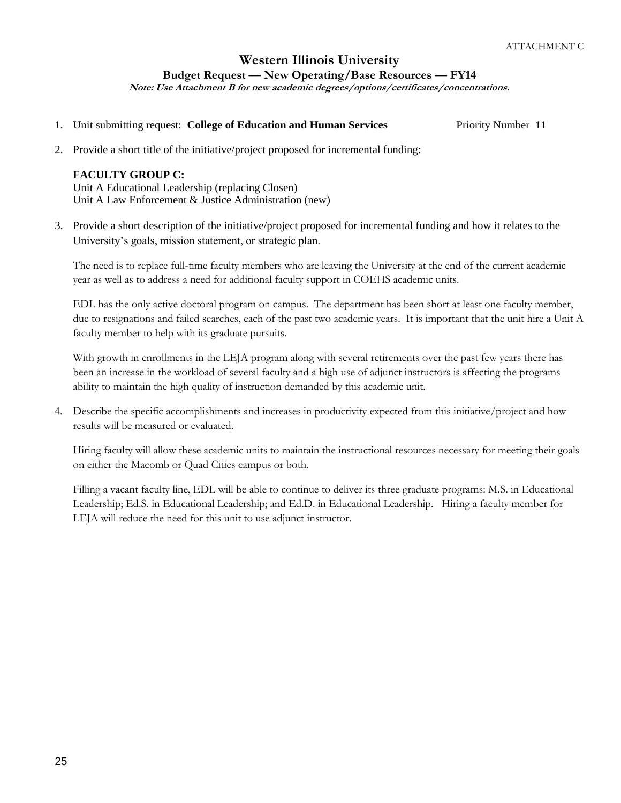# **Western Illinois University**

**Budget Request — New Operating/Base Resources — FY14**

**Note: Use Attachment B for new academic degrees/options/certificates/concentrations.**

- 1. Unit submitting request: **College of Education and Human Services** Priority Number 11
- 2. Provide a short title of the initiative/project proposed for incremental funding:

## **FACULTY GROUP C:**

Unit A Educational Leadership (replacing Closen) Unit A Law Enforcement & Justice Administration (new)

3. Provide a short description of the initiative/project proposed for incremental funding and how it relates to the University's goals, mission statement, or strategic plan.

The need is to replace full-time faculty members who are leaving the University at the end of the current academic year as well as to address a need for additional faculty support in COEHS academic units.

EDL has the only active doctoral program on campus. The department has been short at least one faculty member, due to resignations and failed searches, each of the past two academic years. It is important that the unit hire a Unit A faculty member to help with its graduate pursuits.

With growth in enrollments in the LEJA program along with several retirements over the past few years there has been an increase in the workload of several faculty and a high use of adjunct instructors is affecting the programs ability to maintain the high quality of instruction demanded by this academic unit.

4. Describe the specific accomplishments and increases in productivity expected from this initiative/project and how results will be measured or evaluated.

Hiring faculty will allow these academic units to maintain the instructional resources necessary for meeting their goals on either the Macomb or Quad Cities campus or both.

Filling a vacant faculty line, EDL will be able to continue to deliver its three graduate programs: M.S. in Educational Leadership; Ed.S. in Educational Leadership; and Ed.D. in Educational Leadership. Hiring a faculty member for LEJA will reduce the need for this unit to use adjunct instructor.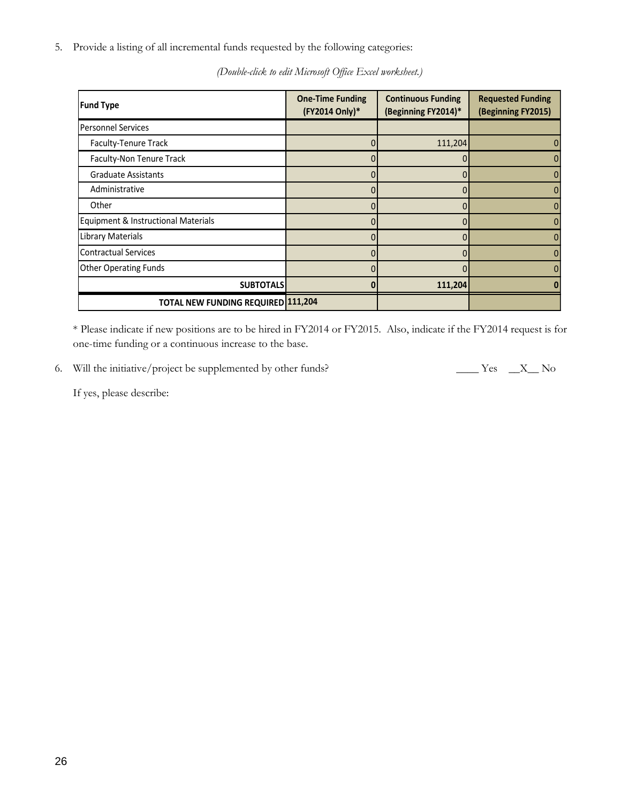5. Provide a listing of all incremental funds requested by the following categories:

| <b>Fund Type</b>                    | <b>One-Time Funding</b><br>(FY2014 Only)* | <b>Continuous Funding</b><br>(Beginning FY2014)* | <b>Requested Funding</b><br>(Beginning FY2015) |
|-------------------------------------|-------------------------------------------|--------------------------------------------------|------------------------------------------------|
| <b>Personnel Services</b>           |                                           |                                                  |                                                |
| Faculty-Tenure Track                |                                           | 111,204                                          |                                                |
| Faculty-Non Tenure Track            |                                           |                                                  |                                                |
| <b>Graduate Assistants</b>          |                                           |                                                  |                                                |
| Administrative                      |                                           |                                                  |                                                |
| Other                               |                                           |                                                  |                                                |
| Equipment & Instructional Materials |                                           |                                                  |                                                |
| <b>Library Materials</b>            |                                           | 0                                                |                                                |
| <b>Contractual Services</b>         |                                           |                                                  |                                                |
| <b>Other Operating Funds</b>        |                                           | $\Omega$                                         |                                                |
| <b>SUBTOTALS</b>                    |                                           | 111,204                                          |                                                |
| TOTAL NEW FUNDING REQUIRED 111,204  |                                           |                                                  |                                                |

*(Double-click to edit Microsoft Office Excel worksheet.)*

\* Please indicate if new positions are to be hired in FY2014 or FY2015. Also, indicate if the FY2014 request is for one-time funding or a continuous increase to the base.

6. Will the initiative/project be supplemented by other funds? \_\_\_\_\_\_ Yes \_\_\_X\_\_ No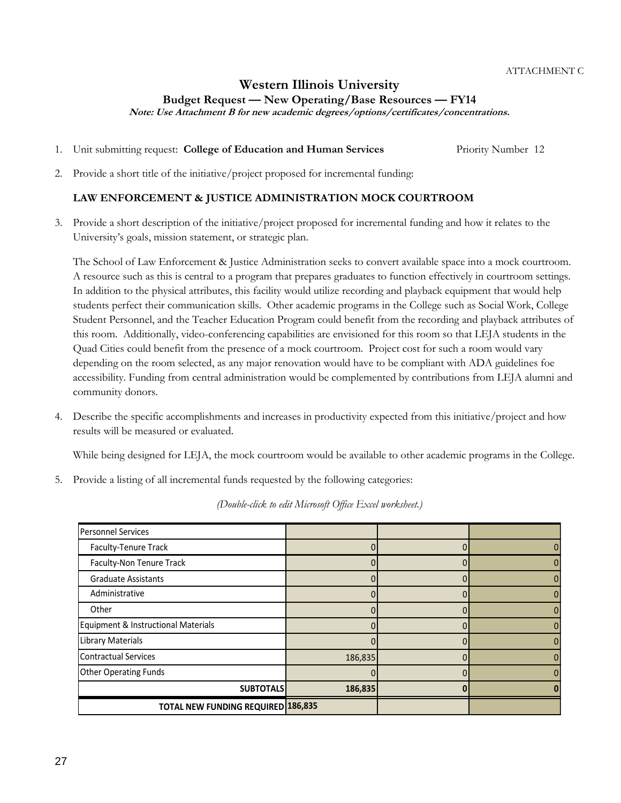**Note: Use Attachment B for new academic degrees/options/certificates/concentrations.**

- 1. Unit submitting request: **College of Education and Human Services** Priority Number 12
- 2. Provide a short title of the initiative/project proposed for incremental funding:

## **LAW ENFORCEMENT & JUSTICE ADMINISTRATION MOCK COURTROOM**

3. Provide a short description of the initiative/project proposed for incremental funding and how it relates to the University's goals, mission statement, or strategic plan.

The School of Law Enforcement & Justice Administration seeks to convert available space into a mock courtroom. A resource such as this is central to a program that prepares graduates to function effectively in courtroom settings. In addition to the physical attributes, this facility would utilize recording and playback equipment that would help students perfect their communication skills. Other academic programs in the College such as Social Work, College Student Personnel, and the Teacher Education Program could benefit from the recording and playback attributes of this room. Additionally, video-conferencing capabilities are envisioned for this room so that LEJA students in the Quad Cities could benefit from the presence of a mock courtroom. Project cost for such a room would vary depending on the room selected, as any major renovation would have to be compliant with ADA guidelines foe accessibility. Funding from central administration would be complemented by contributions from LEJA alumni and community donors.

4. Describe the specific accomplishments and increases in productivity expected from this initiative/project and how results will be measured or evaluated.

While being designed for LEJA, the mock courtroom would be available to other academic programs in the College.

5. Provide a listing of all incremental funds requested by the following categories:

| Personnel Services                        |         |  |
|-------------------------------------------|---------|--|
| Faculty-Tenure Track                      |         |  |
| Faculty-Non Tenure Track                  |         |  |
| <b>Graduate Assistants</b>                |         |  |
| Administrative                            |         |  |
| Other                                     |         |  |
| Equipment & Instructional Materials       |         |  |
| Library Materials                         |         |  |
| Contractual Services                      | 186,835 |  |
| <b>Other Operating Funds</b>              |         |  |
| <b>SUBTOTALS</b>                          | 186,835 |  |
| <b>TOTAL NEW FUNDING REQUIRED 186,835</b> |         |  |

*(Double-click to edit Microsoft Office Excel worksheet.)*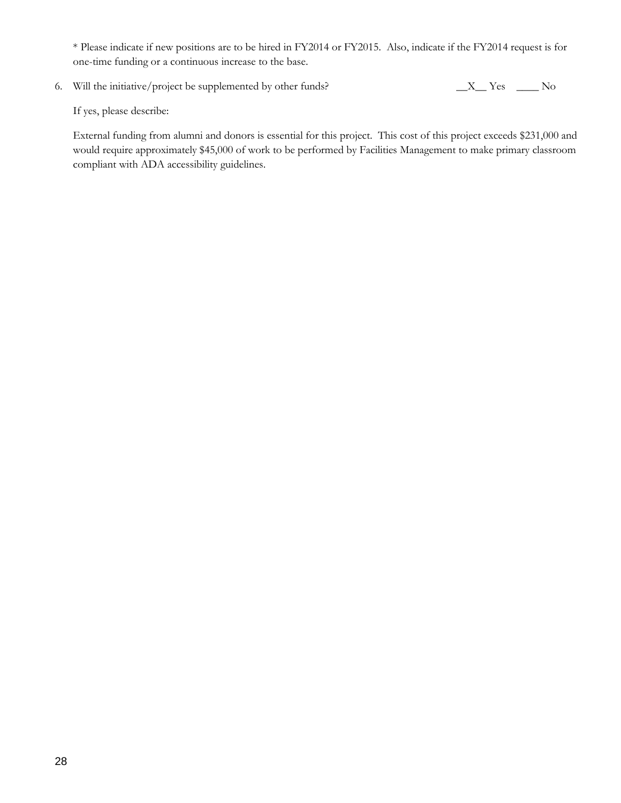\* Please indicate if new positions are to be hired in FY2014 or FY2015. Also, indicate if the FY2014 request is for one-time funding or a continuous increase to the base.

6. Will the initiative/project be supplemented by other funds? \_\_X\_\_ Yes \_\_\_\_ No

If yes, please describe:

External funding from alumni and donors is essential for this project. This cost of this project exceeds \$231,000 and would require approximately \$45,000 of work to be performed by Facilities Management to make primary classroom compliant with ADA accessibility guidelines.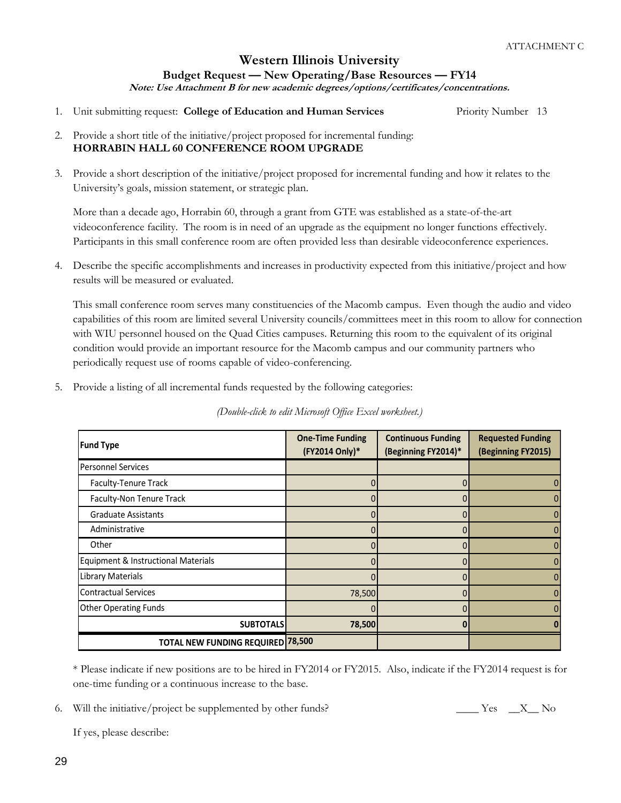## **Western Illinois University Budget Request — New Operating/Base Resources — FY14 Note: Use Attachment B for new academic degrees/options/certificates/concentrations.**

- 1. Unit submitting request: **College of Education and Human Services** Priority Number 13
- 2. Provide a short title of the initiative/project proposed for incremental funding: **HORRABIN HALL 60 CONFERENCE ROOM UPGRADE**
- 3. Provide a short description of the initiative/project proposed for incremental funding and how it relates to the University's goals, mission statement, or strategic plan.

More than a decade ago, Horrabin 60, through a grant from GTE was established as a state-of-the-art videoconference facility. The room is in need of an upgrade as the equipment no longer functions effectively. Participants in this small conference room are often provided less than desirable videoconference experiences.

4. Describe the specific accomplishments and increases in productivity expected from this initiative/project and how results will be measured or evaluated.

This small conference room serves many constituencies of the Macomb campus. Even though the audio and video capabilities of this room are limited several University councils/committees meet in this room to allow for connection with WIU personnel housed on the Quad Cities campuses. Returning this room to the equivalent of its original condition would provide an important resource for the Macomb campus and our community partners who periodically request use of rooms capable of video-conferencing.

5. Provide a listing of all incremental funds requested by the following categories:

*(Double-click to edit Microsoft Office Excel worksheet.)*

| <b>Fund Type</b>                    | <b>One-Time Funding</b><br>(FY2014 Only)* | <b>Continuous Funding</b><br>(Beginning FY2014)* | <b>Requested Funding</b><br>(Beginning FY2015) |
|-------------------------------------|-------------------------------------------|--------------------------------------------------|------------------------------------------------|
| <b>Personnel Services</b>           |                                           |                                                  |                                                |
| Faculty-Tenure Track                |                                           |                                                  |                                                |
| Faculty-Non Tenure Track            |                                           |                                                  |                                                |
| <b>Graduate Assistants</b>          |                                           |                                                  |                                                |
| Administrative                      |                                           |                                                  |                                                |
| Other                               |                                           |                                                  |                                                |
| Equipment & Instructional Materials |                                           |                                                  |                                                |
| Library Materials                   |                                           |                                                  |                                                |
| <b>Contractual Services</b>         | 78,500                                    |                                                  |                                                |
| <b>Other Operating Funds</b>        |                                           | O                                                |                                                |
| <b>SUBTOTALS</b>                    | 78,500                                    |                                                  |                                                |
| TOTAL NEW FUNDING REQUIRED 78,500   |                                           |                                                  |                                                |

\* Please indicate if new positions are to be hired in FY2014 or FY2015. Also, indicate if the FY2014 request is for one-time funding or a continuous increase to the base.

6. Will the initiative/project be supplemented by other funds? The Mess Conservation of the initiative/project be supplemented by other funds?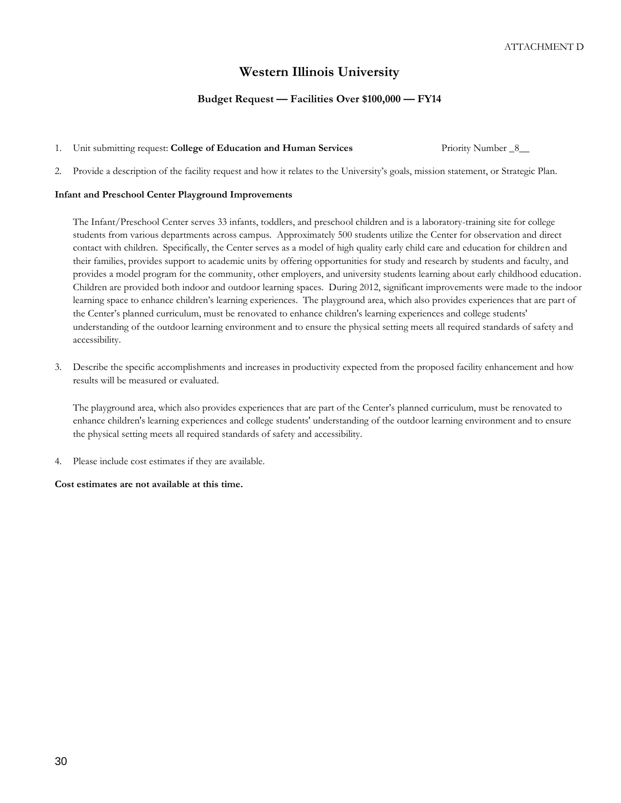# **Western Illinois University**

#### **Budget Request — Facilities Over \$100,000 — FY14**

1. Unit submitting request: **College of Education and Human Services** Priority Number \_8\_\_

2. Provide a description of the facility request and how it relates to the University's goals, mission statement, or Strategic Plan.

#### **Infant and Preschool Center Playground Improvements**

The Infant/Preschool Center serves 33 infants, toddlers, and preschool children and is a laboratory-training site for college students from various departments across campus. Approximately 500 students utilize the Center for observation and direct contact with children. Specifically, the Center serves as a model of high quality early child care and education for children and their families, provides support to academic units by offering opportunities for study and research by students and faculty, and provides a model program for the community, other employers, and university students learning about early childhood education. Children are provided both indoor and outdoor learning spaces. During 2012, significant improvements were made to the indoor learning space to enhance children's learning experiences. The playground area, which also provides experiences that are part of the Center's planned curriculum, must be renovated to enhance children's learning experiences and college students' understanding of the outdoor learning environment and to ensure the physical setting meets all required standards of safety and accessibility.

3. Describe the specific accomplishments and increases in productivity expected from the proposed facility enhancement and how results will be measured or evaluated.

The playground area, which also provides experiences that are part of the Center's planned curriculum, must be renovated to enhance children's learning experiences and college students' understanding of the outdoor learning environment and to ensure the physical setting meets all required standards of safety and accessibility.

4. Please include cost estimates if they are available.

**Cost estimates are not available at this time.**